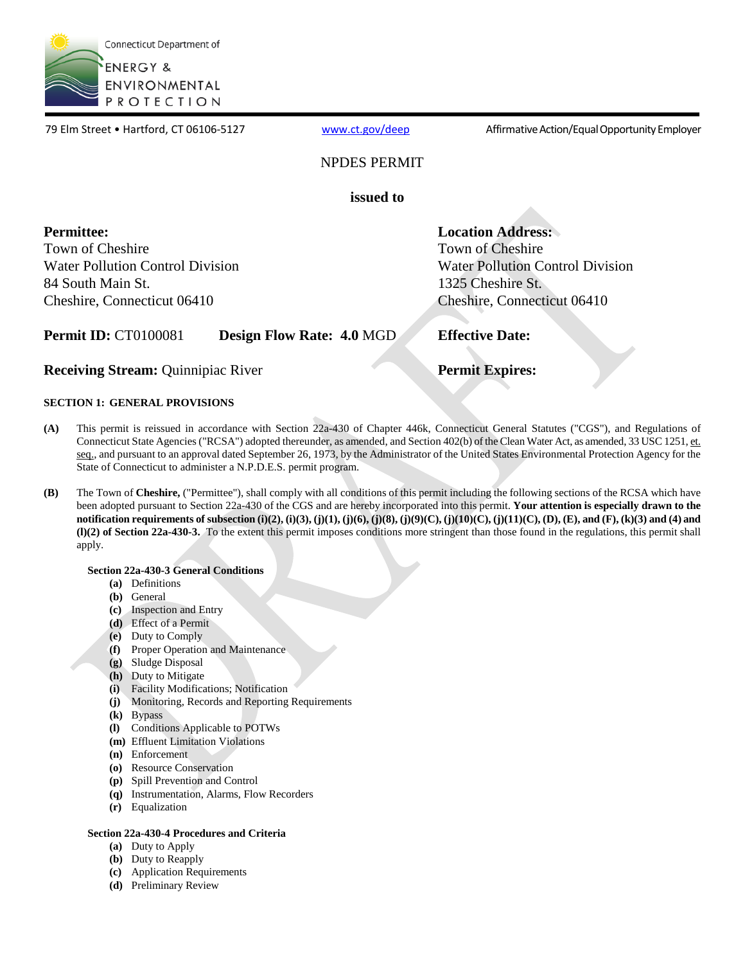

79 Elm Street • Hartford, CT 06106-5127 [www.ct.gov/deep](http://www.ct.gov/deep) Affirmative Action/Equal Opportunity Employer

### NPDES PERMIT

**issued to** 

 **Permittee:** Town of Cheshire Water Pollution Control Division 84 South Main St. Cheshire, Connecticut 06410

**Location Address:**  Town of Cheshire Water Pollution Control Division 1325 Cheshire St. Cheshire, Connecticut 06410

**Permit ID: CT0100081 Design Flow Rate: 4.0 MGD** 

**Receiving Stream: Quinnipiac River** 

### **Effective Date:**

### **Permit Expires:**

### **SECTION 1: GENERAL PROVISIONS**

- Connecticut State Agencies ("RCSA") adopted thereunder, as amended, and Section 402(b) of the Clean Water Act, as amended, 33 USC 1251, et. **(A)** This permit is reissued in accordance with Section 22a-430 of Chapter 446k, Connecticut General Statutes ("CGS"), and Regulations of seq., and pursuant to an approval dated September 26, 1973, by the Administrator of the United States Environmental Protection Agency for the State of Connecticut to administer a N.P.D.E.S. permit program.
- The Town of **Cheshire,** ("Permittee"), shall comply with all conditions of this permit including the following sections of the RCSA which have  **notification requirements of subsection (i)(2), (i)(3), (j)(1), (j)(6), (j)(8), (j)(9)(C), (j)(10)(C), (j)(11)(C), (D), (E), and (F), (k)(3) and (4) and (l)(2) of Section 22a-430-3.** To the extent this permit imposes conditions more stringent than those found in the regulations, this permit shall **(B)** been adopted pursuant to Section 22a-430 of the CGS and are hereby incorporated into this permit. **Your attention is especially drawn to the** apply.

### **Section 22a-430-3 General Conditions**

- **(a)** Definitions
- **(b)** General
- **(c)** Inspection and Entry
- **(d)** Effect of a Permit
- **(e)** Duty to Comply
- **(f)** Proper Operation and Maintenance
- **(g)** Sludge Disposal
- **(h)** Duty to Mitigate
- **(i)** Facility Modifications; Notification
- **(j)** Monitoring, Records and Reporting Requirements
- Bypass
- **(k)** Bypass<br>**(l)** Conditions Applicable to POTWs
- **(m)**  Effluent Limitation Violations
- **(n)** Enforcement
- **(o)** Resource Conservation
- **(p)** Spill Prevention and Control
- **(q)** Instrumentation, Alarms, Flow Recorders
- **(r)** Equalization

### **Section 22a-430-4 Procedures and Criteria**

- **(a)** Duty to Apply
- **(b)** Duty to Reapply
- **(c)** Application Requirements
- **(d)** Preliminary Review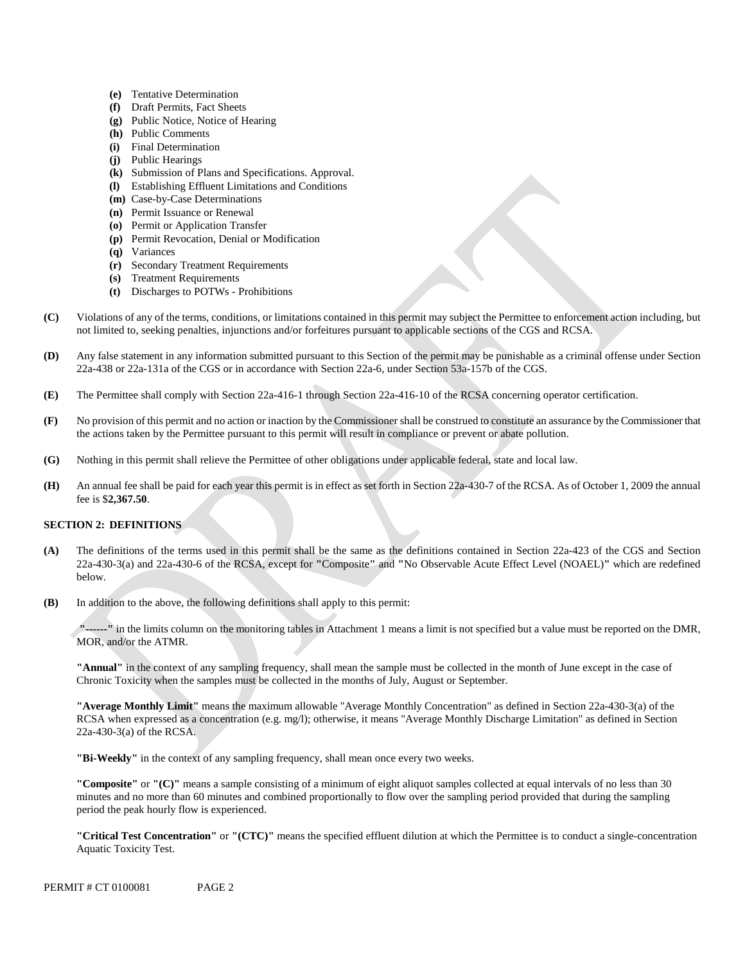- **(e)** Tentative Determination
- **(f)** Draft Permits, Fact Sheets
- **(g)** Public Notice, Notice of Hearing
- **(h)** Public Comments
- **(i)** Final Determination
- **(j)** Public Hearings
- **(k)** Submission of Plans and Specifications. Approval.
- **(l)** Establishing Effluent Limitations and Conditions
- **(m)** Case-by-Case Determinations
- **(n)** Permit Issuance or Renewal
- **(o)** Permit or Application Transfer
- **(p)** Permit Revocation, Denial or Modification
- **(q)** Variances
- **(r)** Secondary Treatment Requirements
- **(s)** Treatment Requirements
- **(t)** Discharges to POTWs Prohibitions
- Violations of any of the terms, conditions, or limitations contained in this permit may subject the Permittee to enforcement action including, but **(C)** not limited to, seeking penalties, injunctions and/or forfeitures pursuant to applicable sections of the CGS and RCSA.
- **(D)** Any false statement in any information submitted pursuant to this Section of the permit may be punishable as a criminal offense under Section 22a-438 or 22a-131a of the CGS or in accordance with Section 22a-6, under Section 53a-157b of the CGS.
- **(E)** The Permittee shall comply with Section 22a-416-1 through Section 22a-416-10 of the RCSA concerning operator certification.
- No provision of this permit and no action or inaction by the Commissioner shall be construed to constitute an assurance by the Commissioner that **(F)** the actions taken by the Permittee pursuant to this permit will result in compliance or prevent or abate pollution.
- **(G)** Nothing in this permit shall relieve the Permittee of other obligations under applicable federal, state and local law.
- An annual fee shall be paid for each year this permit is in effect as set forth in Section 22a-430-7 of the RCSA. As of October 1, 2009 the annual **(H)** fee is \$**2,367.50**.

### **SECTION 2: DEFINITIONS**

- **(A)** The definitions of the terms used in this permit shall be the same as the definitions contained in Section 22a-423 of the CGS and Section 22a-430-3(a) and 22a-430-6 of the RCSA, except for **"**Composite**"** and **"**No Observable Acute Effect Level (NOAEL)**"** which are redefined below.
- **(B)**  In addition to the above, the following definitions shall apply to this permit:

**"------"** in the limits column on the monitoring tables in Attachment 1 means a limit is not specified but a value must be reported on the DMR, MOR, and/or the ATMR.

**"Annual"** in the context of any sampling frequency, shall mean the sample must be collected in the month of June except in the case of Chronic Toxicity when the samples must be collected in the months of July, August or September.

**"Average Monthly Limit"** means the maximum allowable "Average Monthly Concentration" as defined in Section 22a-430-3(a) of the RCSA when expressed as a concentration (e.g. mg/l); otherwise, it means "Average Monthly Discharge Limitation" as defined in Section 22a-430-3(a) of the RCSA.

**"Bi-Weekly"** in the context of any sampling frequency, shall mean once every two weeks.

**"Composite"** or **"(C)"** means a sample consisting of a minimum of eight aliquot samples collected at equal intervals of no less than 30 minutes and no more than 60 minutes and combined proportionally to flow over the sampling period provided that during the sampling period the peak hourly flow is experienced.

**"Critical Test Concentration"** or **"(CTC)"** means the specified effluent dilution at which the Permittee is to conduct a single-concentration Aquatic Toxicity Test.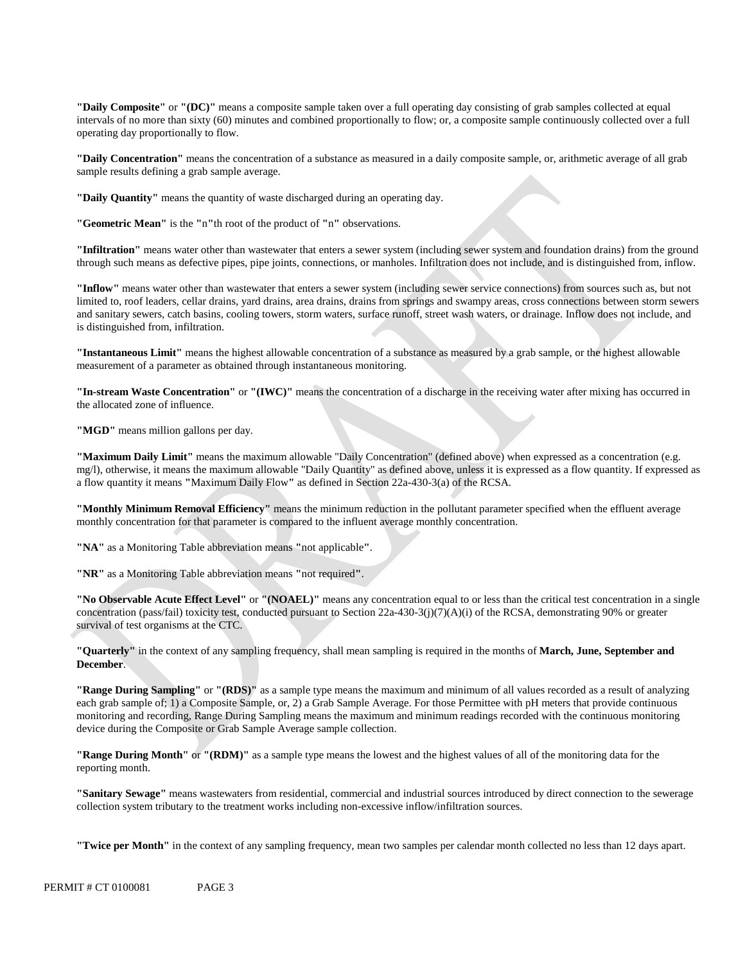**"Daily Composite"** or **"(DC)"** means a composite sample taken over a full operating day consisting of grab samples collected at equal intervals of no more than sixty (60) minutes and combined proportionally to flow; or, a composite sample continuously collected over a full operating day proportionally to flow.

**"Daily Concentration"** means the concentration of a substance as measured in a daily compos ite sample, or, arithmetic average of all grab sample results defining a grab sample average.

**"Daily Quantity"** means the quantity of waste discharged during an operating day.

**"Geometric Mean"** is the **"**n**"**th root of the product of **"**n**"** observations.

**"Infiltration"** means water other than wastewater that enters a sewer system (including sewer system and foundation drains) from the ground through such means as defective pipes, pipe joints, connections, or manholes. Infiltration does not include, and is distinguished from, inflow.

**"Inflow"** means water other than wastewater that enters a sewer system (including sewer service connections) from sources such as, but not limited to, roof leaders, cellar drains, yard drains, area drains, drains from springs and swampy areas, cross connections between storm sewers and sanitary sewers, catch basins, cooling towers, storm waters, surface runoff, street wash waters, or drainage. Inflow does not include, and is distinguished from, infiltration.

**"Instantaneous Limit"** means the highest allowable concentration of a substance as measured by a grab sample, or the highest allowable measurement of a parameter as obtained through instantaneous monitoring.

**"In-stream Waste Concentration"** or **"(IWC)"** means the concentration of a discharge in the receiving water after mixing has occurred in the allocated zone of influence.

**"MGD"** means million gallons per day.

**"Maximum Daily Limit"** means the maximum allowable "Daily Concentration" (defined above) when expressed as a concentration (e.g. mg/l), otherwise, it means the maximum allowable "Daily Quantity" as defined above, unless it is expressed as a flow quantity. If expressed as a flow quantity it means **"**Maximum Daily Flow**"** as defined in Section 22a-430-3(a) of the RCSA.

**"Monthly Minimum Removal Efficiency"** means the minimum reduction in the pollutant parameter specified when the effluent average monthly concentration for that parameter is compared to the influent average monthly concentration.

**"NA"** as a Monitoring Table abbreviation means **"**not applicable**"**.

**"NR"** as a Monitoring Table abbreviation means **"**not required**"**.

**"No Observable Acute Effect Level"** or **"(NOAEL)"** means any concentration equal to or less than the critical test concentration in a single concentration (pass/fail) toxicity test, conducted pursuant to Section  $22a-430-3(j)(7)(A)(i)$  of the RCSA, demonstrating 90% or greater survival of test organisms at the CTC.

**"Quarterly"** in the context of any sampling frequency, shall mean sampling is required in the months of **March, June, September and December**.

**"Range During Sampling"** or **"(RDS)"** as a sample type means the maximum and minimum of all values recorded as a result of analyzing each grab sample of; 1) a Composite Sample, or, 2) a Grab Sample Average. For those Permittee with pH meters that provide continuous monitoring and recording, Range During Sampling means the maximum and minimum readings recorded with the continuous monitoring device during the Composite or Grab Sample Average sample collection.

**"Range During Month"** or **"(RDM)"** as a sample type means the lowest and the highest values of all of the monitoring data for the reporting month.

**"Sanitary Sewage"** means wastewaters from residential, commercial and industrial sources introduced by direct connection to the sewerage collection system tributary to the treatment works including non-excessive inflow/infiltration sources.

**"Twice per Month"** in the context of any sampling frequency, mean two samples per calendar month collected no less than 12 days apart.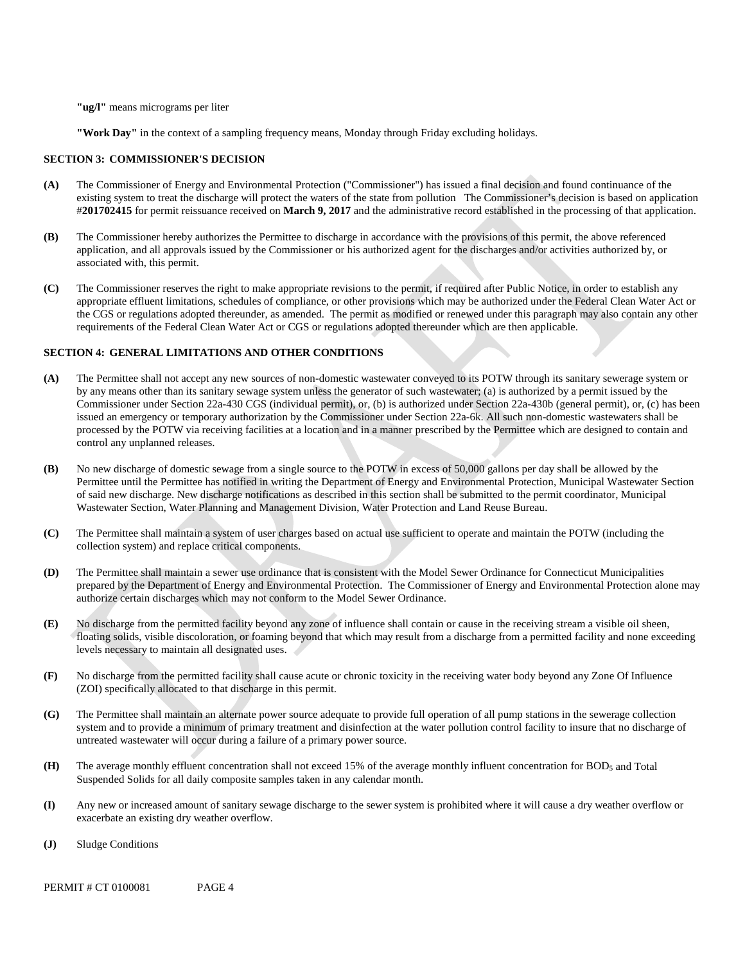**"ug/l"** means micrograms per liter

**"Work Day"** in the context of a sampling frequency means, Monday through Friday excluding holidays.

#### **SECTION 3: COMMISSIONER'S DECISION**

- existing system to treat the discharge will protect the waters of the state from pollution The Commissioner's decision is based on application **(A)** The Commissioner of Energy and Environmental Protection ("Commissioner") has issued a final decision and found continuance of the #**201702415** for permit reissuance received on **March 9, 2017** and the administrative record established in the processing of that application.
- **(B)** The Commissioner hereby authorizes the Permittee to discharge in accordance with the provisions of this permit, the above referenced application, and all approvals issued by the Commissioner or his authorized agent for the discharges and/or activities authorized by, or associated with, this permit.
- **(C)** The Commissioner reserves the right to make appropriate revisions to the permit, if required after Public Notice, in order to establish any appropriate effluent limitations, schedules of compliance, or other provisions which may be authorized under the Federal Clean Water Act or the CGS or regulations adopted thereunder, as amended. The permit as modified or renewed under this paragraph may also contain any other requirements of the Federal Clean Water Act or CGS or regulations adopted thereunder which are then applicable.

#### **SECTION 4: GENERAL LIMITATIONS AND OTHER CONDITIONS**

- **(A)** The Permittee shall not accept any new sources of non-domestic wastewater conveyed to its POTW through its sanitary sewerage system or by any means other than its sanitary sewage system unless the generator of such wastewater; (a) is authorized by a permit issued by the Commissioner under Section 22a-430 CGS (individual permit), or, (b) is authorized under Section 22a-430b (general permit), or, (c) has been issued an emergency or temporary authorization by the Commissioner under Section 22a-6k. All such non-domestic wastewaters shall be processed by the POTW via receiving facilities at a location and in a manner prescribed by the Permittee which are designed to contain and control any unplanned releases.
- No new discharge of domestic sewage from a single source to the POTW in excess of 50,000 gallons per day shall be allowed by the **(B)** Permittee until the Permittee has notified in writing the Department of Energy and Environmental Protection, Municipal Wastewater Section of said new discharge. New discharge notifications as described in this section shall be submitted to the permit coordinator, Municipal Wastewater Section, Water Planning and Management Division, Water Protection and Land Reuse Bureau.
- **(C)** The Permittee shall maintain a system of user charges based on actual use sufficient to operate and maintain the POTW (including the collection system) and replace critical components.
- **(D)** The Permittee shall maintain a sewer use ordinance that is consistent with the Model Sewer Ordinance for Connecticut Municipalities prepared by the Department of Energy and Environmental Protection. The Commissioner of Energy and Environmental Protection alone may authorize certain discharges which may not conform to the Model Sewer Ordinance.
- **(E)** No discharge from the permitted facility beyond any zone of influence shall contain or cause in the receiving stream a visible oil sheen, floating solids, visible discoloration, or foaming beyond that which may result from a discharge from a permitted facility and none exceeding levels necessary to maintain all designated uses.
- **(F)** No discharge from the permitted facility shall cause acute or chronic toxicity in the receiving water body beyond any Zone Of Influence (ZOI) specifically allocated to that discharge in this permit.
- **(G)** The Permittee shall maintain an alternate power source adequate to provide full operation of all pump stations in the sewerage collection system and to provide a minimum of primary treatment and disinfection at the water pollution control facility to insure that no discharge of untreated wastewater will occur during a failure of a primary power source.
- The average monthly effluent concentration shall not exceed 15% of the average monthly influent concentration for BOD<sub>5</sub> and Total **(H)** Suspended Solids for all daily composite samples taken in any calendar month.
- **(I)** Any new or increased amount of sanitary sewage discharge to the sewer system is prohibited where it will cause a dry weather overflow or exacerbate an existing dry weather overflow.
- **(J)** Sludge Conditions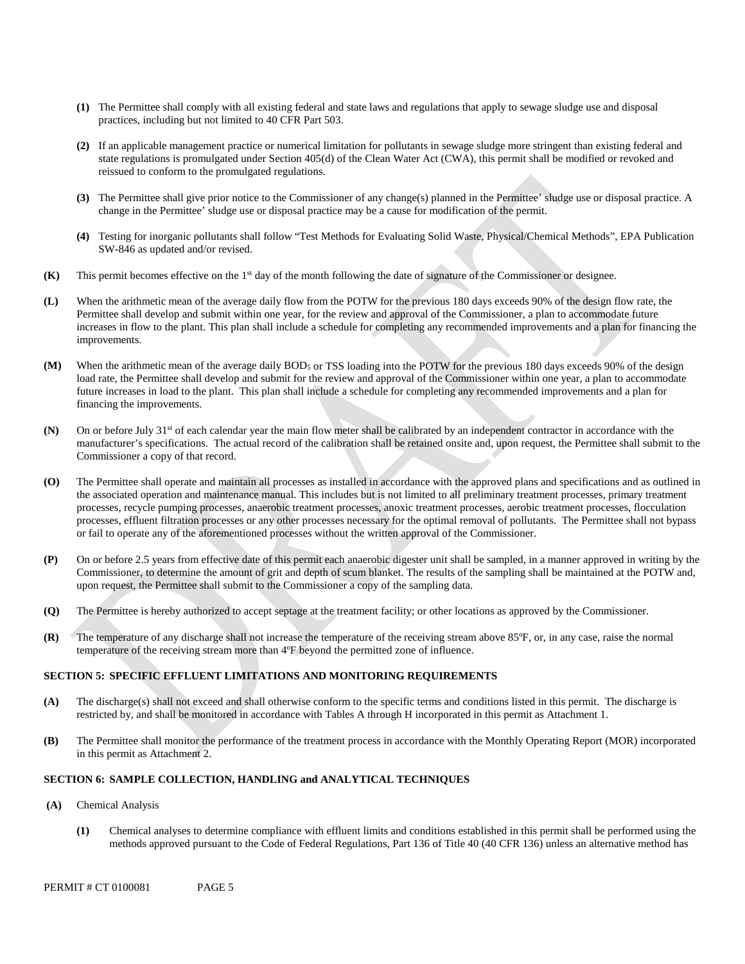- **(1)** The Permittee shall comply with all existing federal and state laws and regulations that apply to sewage sludge use and disposal practices, including but not limited to 40 CFR Part 503.
- **(2)** If an applicable management practice or numerical limitation for pollutants in sewage sludge more stringent than existing federal and state regulations is promulgated under Section 405(d) of the Clean Water Act (CWA), this permit shall be modified or revoked and reissued to conform to the promulgated regulations.
- **(3)** The Permittee shall give prior notice to the Commissioner of any change(s) planned in the Permittee' sludge use or disposal practice. A change in the Permittee' sludge use or disposal practice may be a cause for modification of the permit.
- **(4)** Testing for inorganic pollutants shall follow "Test Methods for Evaluating Solid Waste, Physical/Chemical Methods", EPA Publication SW-846 as updated and/or revised.
- **(K)** This permit becomes effective on the 1st day of the month following the date of signature of the Commissioner or designee.
- **(L)** When the arithmetic mean of the average daily flow from the POTW for the previous 180 days exceeds 90% of the design flow rate, the Permittee shall develop and submit within one year, for the review and approval of the Commissioner, a plan to accommodate future increases in flow to the plant. This plan shall include a schedule for completing any recommended improvements and a plan for financing the improvements.
- **(M)** When the arithmetic mean of the average daily BOD5 or TSS loading into the POTW for the previous 180 days exceeds 90% of the design load rate, the Permittee shall develop and submit for the review and approval of the Commissioner within one year, a plan to accommodate future increases in load to the plant. This plan shall include a schedule for completing any recommended improvements and a plan for financing the improvements.
- **(N)** On or before July 31st of each calendar year the main flow meter shall be calibrated by an independent contractor in accordance with the manufacturer's specifications. The actual record of the calibration shall be retained onsite and, upon request, the Permittee shall submit to the Commissioner a copy of that record.
- **(O)** The Permittee shall operate and maintain all processes as installed in accordance with the approved plans and specifications and as outlined in the associated operation and maintenance manual. This includes but is not limited to all preliminary treatment processes, primary treatment processes, recycle pumping processes, anaerobic treatment processes, anoxic treatment processes, aerobic treatment processes, flocculation processes, effluent filtration processes or any other processes necessary for the optimal removal of pollutants. The Permittee shall not bypass or fail to operate any of the aforementioned processes without the written approval of the Commissioner.
- **(P)** On or before 2.5 years from effective date of this permit each anaerobic digester unit shall be sampled, in a manner approved in writing by the Commissioner, to determine the amount of grit and depth of scum blanket. The results of the sampling shall be maintained at the POTW and, upon request, the Permittee shall submit to the Commissioner a copy of the sampling data.
- **(Q)** The Permittee is hereby authorized to accept septage at the treatment facility; or other locations as approved by the Commissioner.
- **(R)** The temperature of any discharge shall not increase the temperature of the receiving stream above 85ºF, or, in any case, raise the normal temperature of the receiving stream more than 4ºF beyond the permitted zone of influence.

### **SECTION 5: SPECIFIC EFFLUENT LIMITATIONS AND MONITORING REQUIREMENTS**

- **(A)** The discharge(s) shall not exceed and shall otherwise conform to the specific terms and conditions listed in this permit. The discharge is restricted by, and shall be monitored in accordance with Tables A through H incorporated in this permit as Attachment 1.
- **(B)** The Permittee shall monitor the performance of the treatment process in accordance with the Monthly Operating Report (MOR) incorporated in this permit as Attachment 2.

#### **SECTION 6: SAMPLE COLLECTION, HANDLING and ANALYTICAL TECHNIQUES**

- **(A)** Chemical Analysis
	- **(1)** Chemical analyses to determine compliance with effluent limits and conditions established in this permit shall be performed using the methods approved pursuant to the Code of Federal Regulations, Part 136 of Title 40 (40 CFR 136) unless an alternative method has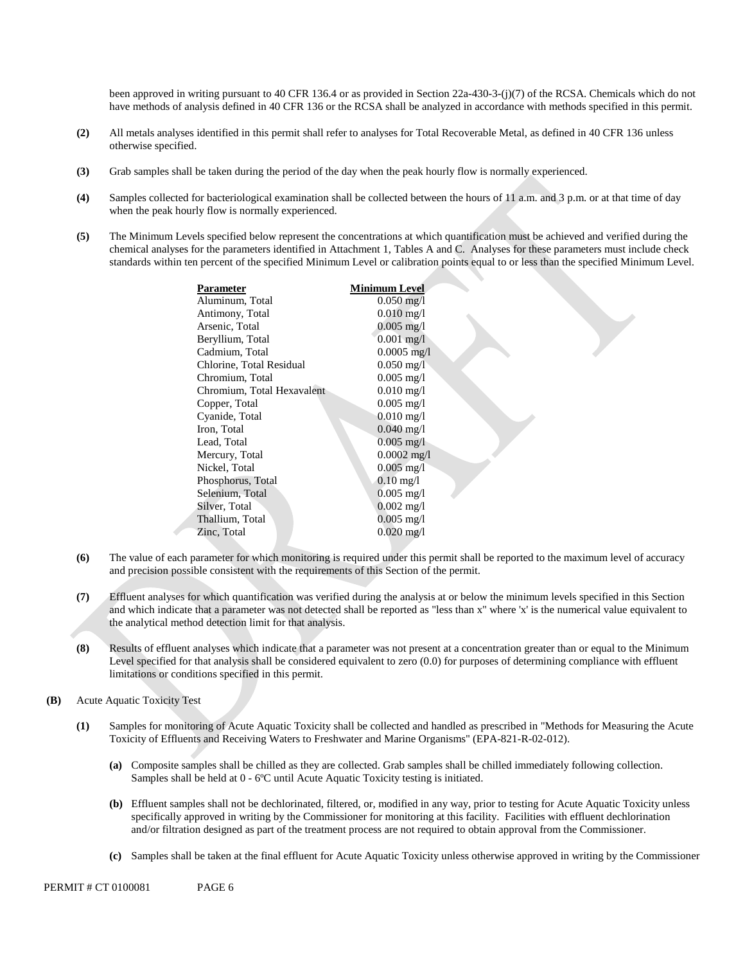been approved in writing pursuant to 40 CFR 136.4 or as provided in Section 22a-430-3-(j)(7) of the RCSA. Chemicals which do not have methods of analysis defined in 40 CFR 136 or the RCSA shall be analyzed in accordance with methods specified in this permit.

- **(2)** All metals analyses identified in this permit shall refer to analyses for Total Recoverable Metal, as defined in 40 CFR 136 unless otherwise specified.
- **(3)** Grab samples shall be taken during the period of the day when the peak hourly flow is normally experienced.
- **(4)** Samples collected for bacteriological examination shall be collected between the hours of 11 a.m. and 3 p.m. or at that time of day when the peak hourly flow is normally experienced.
- chemical analyses for the parameters identified in Attachment 1, Tables A and C. Analyses for these parameters must include check standards within ten percent of the specified Minimum Level or calibration points equal to or less than the specified Minimum Level. **(5)** The Minimum Levels specified below represent the concentrations at which quantification must be achieved and verified during the

| Parameter                  | Minimum Level           |
|----------------------------|-------------------------|
| Aluminum, Total            | $0.050 \,\mathrm{mg}/l$ |
| Antimony, Total            | $0.010 \,\mathrm{mg}/l$ |
| Arsenic, Total             | $0.005 \,\mathrm{mg}/l$ |
| Beryllium, Total           | $0.001$ mg/l            |
| Cadmium, Total             | $0.0005$ mg/l           |
| Chlorine, Total Residual   | $0.050 \,\mathrm{mg}/l$ |
| Chromium, Total            | $0.005$ mg/l            |
| Chromium, Total Hexavalent | $0.010 \,\mathrm{mg}/l$ |
| Copper, Total              | $0.005 \text{ mg/l}$    |
| Cyanide, Total             | $0.010$ mg/l            |
| Iron, Total                | $0.040 \,\mathrm{mg}/l$ |
| Lead, Total                | $0.005 \text{ mg/l}$    |
| Mercury, Total             | $0.0002$ mg/l           |
| Nickel, Total              | $0.005$ mg/l            |
| Phosphorus, Total          | $0.10 \,\mathrm{mg}/l$  |
| Selenium, Total            | $0.005$ mg/l            |
| Silver, Total              | $0.002 \text{ mg/l}$    |
| Thallium, Total            | $0.005 \text{ mg/l}$    |
| Zinc, Total                | $0.020 \text{ mg/l}$    |
|                            |                         |

- **(6)** The value of each parameter for which monitoring is required under this permit shall be reported to the maximum level of accuracy and precision possible consistent with the requirements of this Section of the permit.
- **(7)** Effluent analyses for which quantification was verified during the analysis at or below the minimum levels specified in this Section and which indicate that a parameter was not detected shall be reported as "less than x" where 'x' is the numerical value equivalent to the analytical method detection limit for that analysis.
- **(8)** Results of effluent analyses which indicate that a parameter was not present at a concentration greater than or equal to the Minimum Level specified for that analysis shall be considered equivalent to zero (0.0) for purposes of determining compliance with effluent limitations or conditions specified in this permit.
- **(B)** Acute Aquatic Toxicity Test
	- **(1)** Samples for monitoring of Acute Aquatic Toxicity shall be collected and handled as prescribed in "Methods for Measuring the Acute Toxicity of Effluents and Receiving Waters to Freshwater and Marine Organisms" (EPA-821-R-02-012).
		- **(a)** Composite samples shall be chilled as they are collected. Grab samples shall be chilled immediately following collection. Samples shall be held at 0 - 6ºC until Acute Aquatic Toxicity testing is initiated.
		- **(b)** Effluent samples shall not be dechlorinated, filtered, or, modified in any way, prior to testing for Acute Aquatic Toxicity unless specifically approved in writing by the Commissioner for monitoring at this facility. Facilities with effluent dechlorination and/or filtration designed as part of the treatment process are not required to obtain approval from the Commissioner.
		- **(c)** Samples shall be taken at the final effluent for Acute Aquatic Toxicity unless otherwise approved in writing by the Commissioner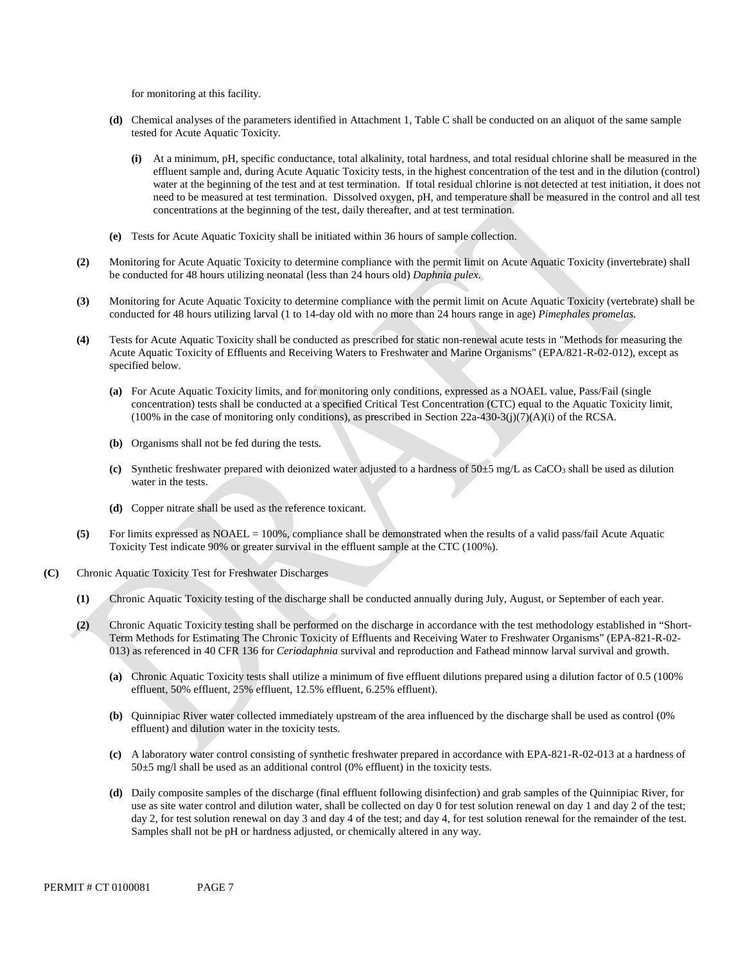for monitoring at this facility.

- **(d)** Chemical analyses of the parameters identified in Attachment 1, Table C shall be conducted on an aliquot of the same sample tested for Acute Aquatic Toxicity.
	- **(i)** At a minimum, pH, specific conductance, total alkalinity, total hardness, and total residual chlorine shall be measured in the effluent sample and, during Acute Aquatic Toxicity tests, in the highest concentration of the test and in the dilution (control) water at the beginning of the test and at test termination. If total residual chlorine is not detected at test initiation, it does not need to be measured at test termination. Dissolved oxygen, pH, and temperature shall be measured in the control and all test concentrations at the beginning of the test, daily thereafter, and at test termination.
- **(e)** Tests for Acute Aquatic Toxicity shall be initiated within 36 hours of sample collection.
- **(2)** Monitoring for Acute Aquatic Toxicity to determine compliance with the permit limit on Acute Aquatic Toxicity (invertebrate) shall be conducted for 48 hours utilizing neonatal (less than 24 hours old) *Daphnia pulex*.
- **(3)** Monitoring for Acute Aquatic Toxicity to determine compliance with the permit limit on Acute Aquatic Toxicity (vertebrate) shall be conducted for 48 hours utilizing larval (1 to 14-day old with no more than 24 hours range in age) *Pimephales promelas*.
- **(4)** Tests for Acute Aquatic Toxicity shall be conducted as prescribed for static non-renewal acute tests in "Methods for measuring the Acute Aquatic Toxicity of Effluents and Receiving Waters to Freshwater and Marine Organisms" (EPA/821-R-02-012), except as specified below.
	- **(a)** For Acute Aquatic Toxicity limits, and for monitoring only conditions, expressed as a NOAEL value, Pass/Fail (single concentration) tests shall be conducted at a specified Critical Test Concentration (CTC) equal to the Aquatic Toxicity limit,  $(100\%$  in the case of monitoring only conditions), as prescribed in Section 22a-430-3(j)(7)(A)(i) of the RCSA.
	- **(b)** Organisms shall not be fed during the tests.
	- **(c)** Synthetic freshwater prepared with deionized water adjusted to a hardness of 50±5 mg/L as CaCO3 shall be used as dilution water in the tests.
	- **(d)** Copper nitrate shall be used as the reference toxicant.
- **(5)** For limits expressed as NOAEL = 100%, compliance shall be demonstrated when the results of a valid pass/fail Acute Aquatic Toxicity Test indicate 90% or greater survival in the effluent sample at the CTC (100%).
- **(C)** Chronic Aquatic Toxicity Test for Freshwater Discharges
	- **(1)** Chronic Aquatic Toxicity testing of the discharge shall be conducted annually during July, August, or September of each year.
	- **(2)** Chronic Aquatic Toxicity testing shall be performed on the discharge in accordance with the test methodology established in "Short-Term Methods for Estimating The Chronic Toxicity of Effluents and Receiving Water to Freshwater Organisms" (EPA-821-R-02- 013) as referenced in 40 CFR 136 for *Ceriodaphnia* survival and reproduction and Fathead minnow larval survival and growth.
		- **(a)** Chronic Aquatic Toxicity tests shall utilize a minimum of five effluent dilutions prepared using a dilution factor of 0.5 (100% effluent, 50% effluent, 25% effluent, 12.5% effluent, 6.25% effluent).
		- **(b)** Quinnipiac River water collected immediately upstream of the area influenced by the discharge shall be used as control (0% effluent) and dilution water in the toxicity tests.
		- **(c)** A laboratory water control consisting of synthetic freshwater prepared in accordance with EPA-821-R-02-013 at a hardness of  $50±5$  mg/l shall be used as an additional control (0% effluent) in the toxicity tests.
		- **(d)** Daily composite samples of the discharge (final effluent following disinfection) and grab samples of the Quinnipiac River, for day 2, for test solution renewal on day 3 and day 4 of the test; and day 4, for test solution renewal for the remainder of the test. Samples shall not be pH or hardness adjusted, or chemically altered in any way. use as site water control and dilution water, shall be collected on day 0 for test solution renewal on day 1 and day 2 of the test;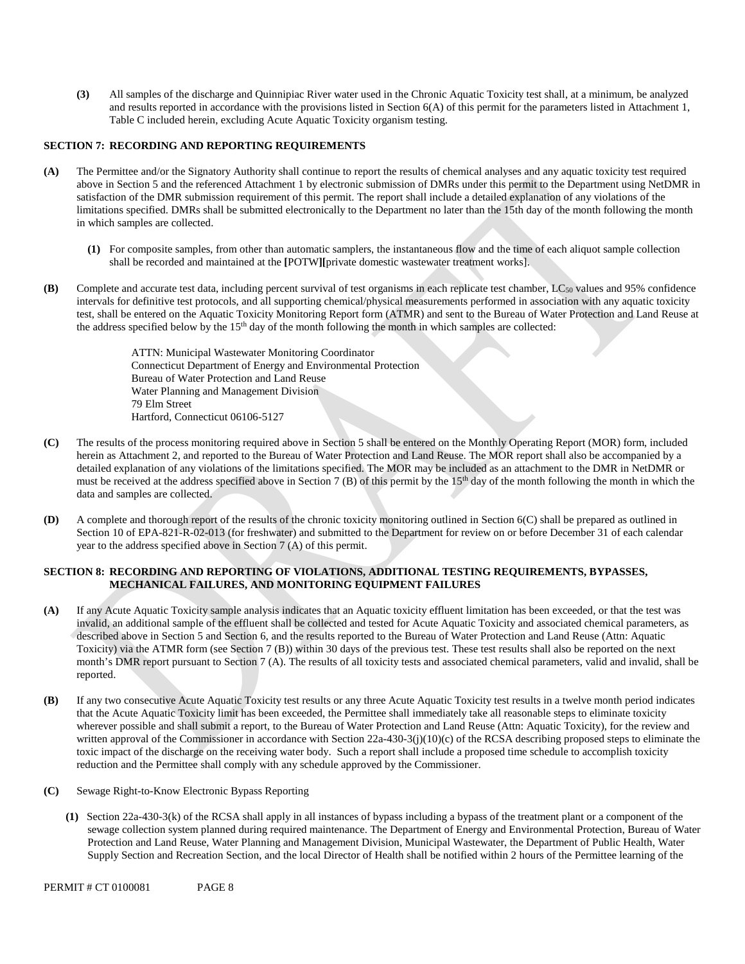**(3)** All samples of the discharge and Quinnipiac River water used in the Chronic Aquatic Toxicity test shall, at a minimum, be analyzed and results reported in accordance with the provisions listed in Section  $6(A)$  of this permit for the parameters listed in Attachment 1, Table C included herein, excluding Acute Aquatic Toxicity organism testing.

#### **SECTION 7: RECORDING AND REPORTING REQUIREMENTS**

- **(A)** The Permittee and/or the Signatory Authority shall continue to report the results of chemical analyses and any aquatic toxicity test required above in Section 5 and the referenced Attachment 1 by electronic submission of DMRs under this permit to the Department using NetDMR in satisfaction of the DMR submission requirement of this permit. The report shall include a detailed explanation of any violations of the limitations specified. DMRs shall be submitted electronically to the Department no later than the 15th day of the month following the month in which samples are collected.
	- **(1)** For composite samples, from other than automatic samplers, the instantaneous flow and the time of each aliquot sample collection shall be recorded and maintained at the **[**POTW**][**private domestic wastewater treatment works].
- **(B)** Complete and accurate test data, including percent survival of test organisms in each replicate test chamber, LC<sub>50</sub> values and 95% confidence intervals for definitive test protocols, and all supporting chemical/physical measurements performed in association with any aquatic toxicity test, shall be entered on the Aquatic Toxicity Monitoring Report form (ATMR) and sent to the Bureau of Water Protection and Land Reuse at the address specified below by the 15<sup>th</sup> day of the month following the month in which samples are collected:

ATTN: Municipal Wastewater Monitoring Coordinator Connecticut Department of Energy and Environmental Protection Bureau of Water Protection and Land Reuse Water Planning and Management Division 79 Elm Street Hartford, Connecticut 06106-5127

- **(C)** The results of the process monitoring required above in Section 5 shall be entered on the Monthly Operating Report (MOR) form, included herein as Attachment 2, and reported to the Bureau of Water Protection and Land Reuse. The MOR report shall also be accompanied by a detailed explanation of any violations of the limitations specified. The MOR may be included as an attachment to the DMR in NetDMR or must be received at the address specified above in Section 7 (B) of this permit by the 15<sup>th</sup> day of the month following the month in which the data and samples are collected.
- **(D)** A complete and thorough report of the results of the chronic toxicity monitoring outlined in Section 6(C) shall be prepared as outlined in Section 10 of EPA-821-R-02-013 (for freshwater) and submitted to the Department for review on or before December 31 of each calendar year to the address specified above in Section 7 (A) of this permit.

#### **SECTION 8: RECORDING AND REPORTING OF VIOLATIONS, ADDITIONAL TESTING REQUIREMENTS, BYPASSES, MECHANICAL FAILURES, AND MONITORING EQUIPMENT FAILURES**

- invalid, an additional sample of the effluent shall be collected and tested for Acute Aquatic Toxicity and associated chemical parameters, as **(A)** If any Acute Aquatic Toxicity sample analysis indicates that an Aquatic toxicity effluent limitation has been exceeded, or that the test was described above in Section 5 and Section 6, and the results reported to the Bureau of Water Protection and Land Reuse (Attn: Aquatic Toxicity) via the ATMR form (see Section 7 (B)) within 30 days of the previous test. These test results shall also be reported on the next month's DMR report pursuant to Section 7 (A). The results of all toxicity tests and associated chemical parameters, valid and invalid, shall be reported.
- **(B)** If any two consecutive Acute Aquatic Toxicity test results or any three Acute Aquatic Toxicity test results in a twelve month period indicates that the Acute Aquatic Toxicity limit has been exceeded, the Permittee shall immediately take all reasonable steps to eliminate toxicity wherever possible and shall submit a report, to the Bureau of Water Protection and Land Reuse (Attn: Aquatic Toxicity), for the review and written approval of the Commissioner in accordance with Section 22a-430-3(j)(10)(c) of the RCSA describing proposed steps to eliminate the toxic impact of the discharge on the receiving water body. Such a report shall include a proposed time schedule to accomplish toxicity reduction and the Permittee shall comply with any schedule approved by the Commissioner.
- Sewage Right-to-Know Electronic Bypass Reporting **(C)**
	- **(1)** Section 22a-430-3(k) of the RCSA shall apply in all instances of bypass including a bypass of the treatment plant or a component of the sewage collection system planned during required maintenance. The Department of Energy and Environmental Protection, Bureau of Water Protection and Land Reuse, Water Planning and Management Division, Municipal Wastewater, the Department of Public Health, Water Supply Section and Recreation Section, and the local Director of Health shall be notified within 2 hours of the Permittee learning of the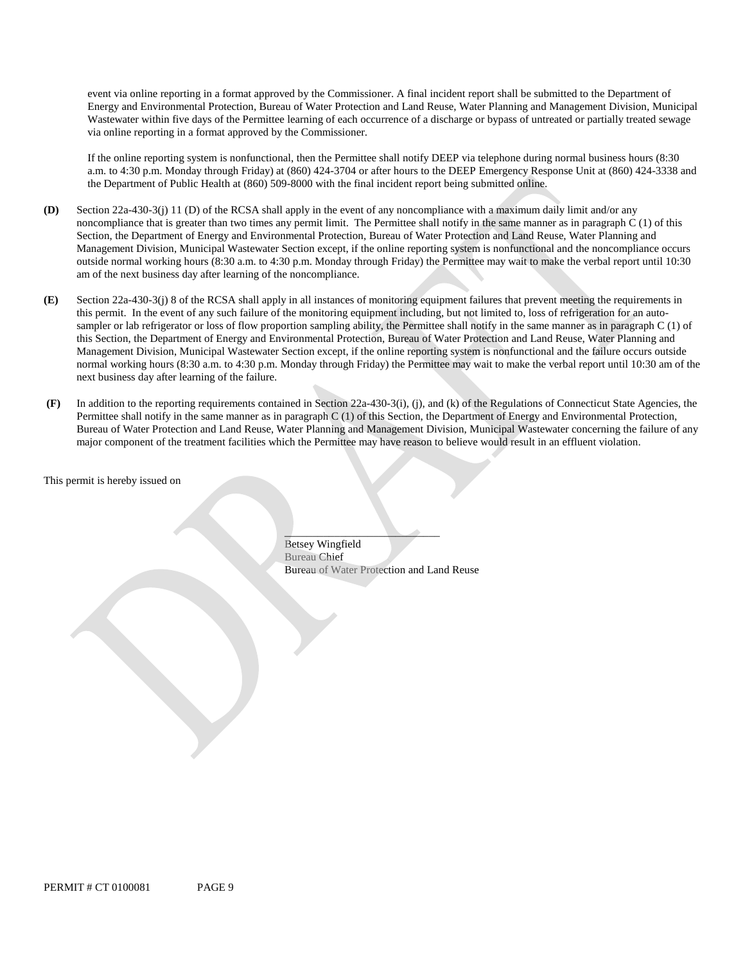Wastewater within five days of the Permittee learning of each occurrence of a discharge or bypass of untreated or partially treated sewage event via online reporting in a format approved by the Commissioner. A final incident report shall be submitted to the Department of Energy and Environmental Protection, Bureau of Water Protection and Land Reuse, Water Planning and Management Division, Municipal via online reporting in a format approved by the Commissioner.

If the online reporting system is nonfunctional, then the Permittee shall notify DEEP via telephone during normal business hours (8:30 a.m. to 4:30 p.m. Monday through Friday) at (860) 424-3704 or after hours to the DEEP Emergency Response Unit at (860) 424-3338 and the Department of Public Health at (860) 509-8000 with the final incident report being submitted online.

- **(D)** Section 22a-430-3(j) 11 (D) of the RCSA shall apply in the event of any noncompliance with a maximum daily limit and/or any noncompliance that is greater than two times any permit limit. The Permittee shall notify in the same manner as in paragraph C (1) of this Section, the Department of Energy and Environmental Protection, Bureau of Water Protection and Land Reuse, Water Planning and Management Division, Municipal Wastewater Section except, if the online reporting system is nonfunctional and the noncompliance occurs outside normal working hours (8:30 a.m. to 4:30 p.m. Monday through Friday) the Permittee may wait to make the verbal report until 10:30 am of the next business day after learning of the noncompliance.
- next business day after learning of the failure. **(E)** Section 22a-430-3(j) 8 of the RCSA shall apply in all instances of monitoring equipment failures that prevent meeting the requirements in this permit. In the event of any such failure of the monitoring equipment including, but not limited to, loss of refrigeration for an autosampler or lab refrigerator or loss of flow proportion sampling ability, the Permittee shall notify in the same manner as in paragraph C (1) of this Section, the Department of Energy and Environmental Protection, Bureau of Water Protection and Land Reuse, Water Planning and Management Division, Municipal Wastewater Section except, if the online reporting system is nonfunctional and the failure occurs outside normal working hours (8:30 a.m. to 4:30 p.m. Monday through Friday) the Permittee may wait to make the verbal report until 10:30 am of the
- major component of the treatment facilities which the Permittee may have reason to believe would result in an effluent violation. **(F)** In addition to the reporting requirements contained in Section 22a-430-3(i), (j), and (k) of the Regulations of Connecticut State Agencies, the Permittee shall notify in the same manner as in paragraph C (1) of this Section, the Department of Energy and Environmental Protection, Bureau of Water Protection and Land Reuse, Water Planning and Management Division, Municipal Wastewater concerning the failure of any

This permit is hereby issued on

Bureau Chief Bureau of Water Protection and Land Reuse Betsey Wingfield Betsey Wingfield<br>Bureau of Water Protection and Lan<br>PERMIT # CT 0100081 PAGE 9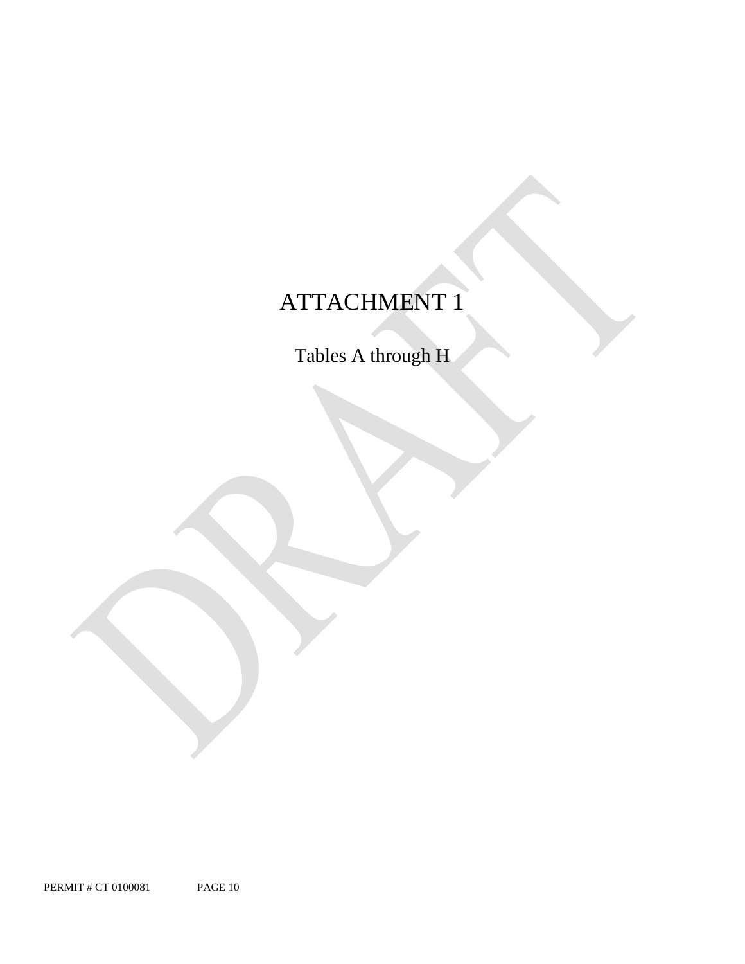# ATTACHMENT 1

Tables A through H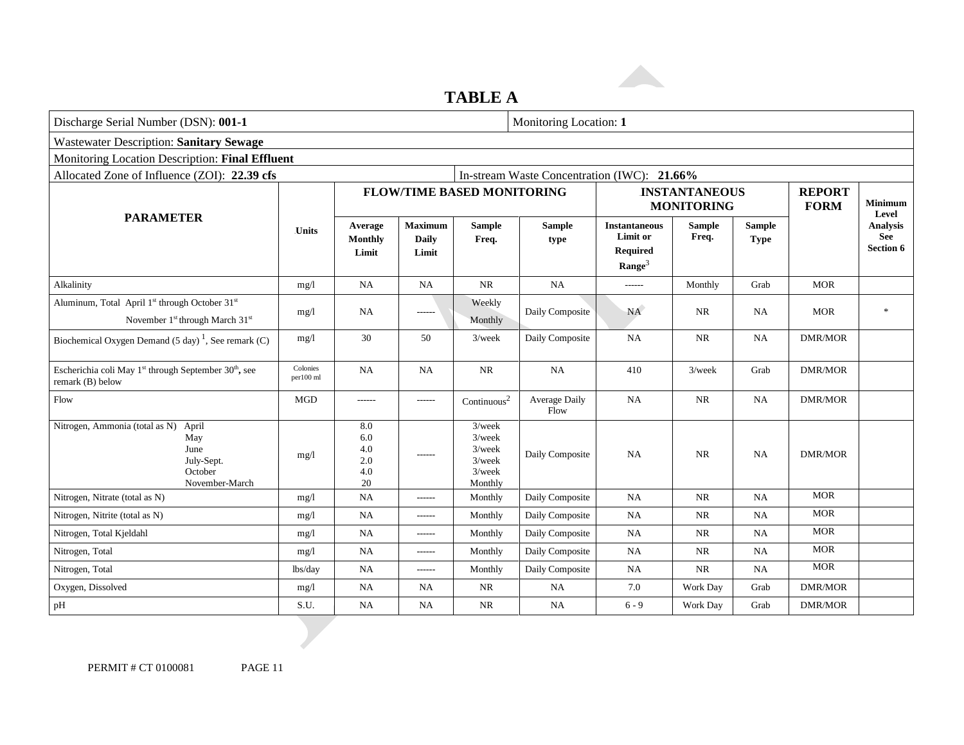### **TABLE A**

| Discharge Serial Number (DSN): 001-1            |                                              |                                         |                                                                          |                       | Monitoring Location: 1                                                    |                        |                                             |                              |                                     |
|-------------------------------------------------|----------------------------------------------|-----------------------------------------|--------------------------------------------------------------------------|-----------------------|---------------------------------------------------------------------------|------------------------|---------------------------------------------|------------------------------|-------------------------------------|
|                                                 |                                              |                                         |                                                                          |                       |                                                                           |                        |                                             |                              |                                     |
| Monitoring Location Description: Final Effluent |                                              |                                         |                                                                          |                       |                                                                           |                        |                                             |                              |                                     |
| Allocated Zone of Influence (ZOI): 22.39 cfs    |                                              |                                         |                                                                          |                       |                                                                           |                        |                                             |                              |                                     |
|                                                 |                                              |                                         |                                                                          |                       | <b>INSTANTANEOUS</b><br><b>MONITORING</b>                                 |                        |                                             | <b>REPORT</b><br><b>FORM</b> | <b>Minimum</b><br>Level             |
| <b>Units</b>                                    | Average<br>Monthly<br>Limit                  | <b>Maximum</b><br><b>Daily</b><br>Limit | <b>Sample</b><br>Freq.                                                   | <b>Sample</b><br>type | <b>Instantaneous</b><br>Limit or<br><b>Required</b><br>Range <sup>3</sup> | <b>Sample</b><br>Freq. | <b>Sample</b><br><b>Type</b>                |                              | Analysis<br>See<br><b>Section 6</b> |
| mg/1                                            | NA                                           | <b>NA</b>                               | <b>NR</b>                                                                | <b>NA</b>             | $-----$                                                                   | Monthly                | Grab                                        | <b>MOR</b>                   |                                     |
| mg/1                                            | NA                                           | ------                                  | Weekly<br>Monthly                                                        | Daily Composite       | <b>NA</b>                                                                 | NR                     | NA.                                         | <b>MOR</b>                   | $\ast$                              |
| mg/l                                            | 30                                           | 50                                      | $3$ /week                                                                | Daily Composite       | <b>NA</b>                                                                 | <b>NR</b>              | NA                                          | <b>DMR/MOR</b>               |                                     |
| Colonies<br>per100 ml                           | <b>NA</b>                                    | <b>NA</b>                               | $\rm NR$                                                                 | <b>NA</b>             | 410                                                                       | $3$ /week              | Grab                                        | <b>DMR/MOR</b>               |                                     |
| <b>MGD</b>                                      | -------                                      | ------                                  | Continuous <sup>2</sup>                                                  | Average Daily<br>Flow | <b>NA</b>                                                                 | $\rm NR$               | NA                                          | <b>DMR/MOR</b>               |                                     |
| mg/1                                            | $\ \, 8.0$<br>6.0<br>4.0<br>2.0<br>4.0<br>20 | ------                                  | $3$ /week<br>$3$ /week<br>$3$ /week<br>$3$ /week<br>$3$ /week<br>Monthly | Daily Composite       | <b>NA</b>                                                                 | <b>NR</b>              | NA                                          | DMR/MOR                      |                                     |
| mg/1                                            | NA                                           | ------                                  | Monthly                                                                  | Daily Composite       | NA                                                                        | $\rm NR$               | NA                                          | <b>MOR</b>                   |                                     |
| mg/1                                            | <b>NA</b>                                    | ------                                  | Monthly                                                                  | Daily Composite       | <b>NA</b>                                                                 | <b>NR</b>              | <b>NA</b>                                   | <b>MOR</b>                   |                                     |
| mg/1                                            | <b>NA</b>                                    | ------                                  | Monthly                                                                  | Daily Composite       | NA                                                                        | $\rm NR$               | NA                                          | <b>MOR</b>                   |                                     |
| mg/1                                            | <b>NA</b>                                    | ------                                  | Monthly                                                                  | Daily Composite       | NA                                                                        | <b>NR</b>              | NA                                          | <b>MOR</b>                   |                                     |
| lbs/day                                         | <b>NA</b>                                    | ------                                  | Monthly                                                                  | Daily Composite       | <b>NA</b>                                                                 | $\rm NR$               | NA                                          | <b>MOR</b>                   |                                     |
| mg/l                                            | <b>NA</b>                                    | <b>NA</b>                               | $\rm NR$                                                                 | NA                    | 7.0                                                                       | Work Day               | Grab                                        | <b>DMR/MOR</b>               |                                     |
| S.U.                                            | NA                                           | NA                                      | <b>NR</b>                                                                | NA                    | $6 - 9$                                                                   | Work Day               | Grab                                        | <b>DMR/MOR</b>               |                                     |
|                                                 |                                              |                                         |                                                                          |                       | <b>FLOW/TIME BASED MONITORING</b>                                         |                        | In-stream Waste Concentration (IWC): 21.66% |                              |                                     |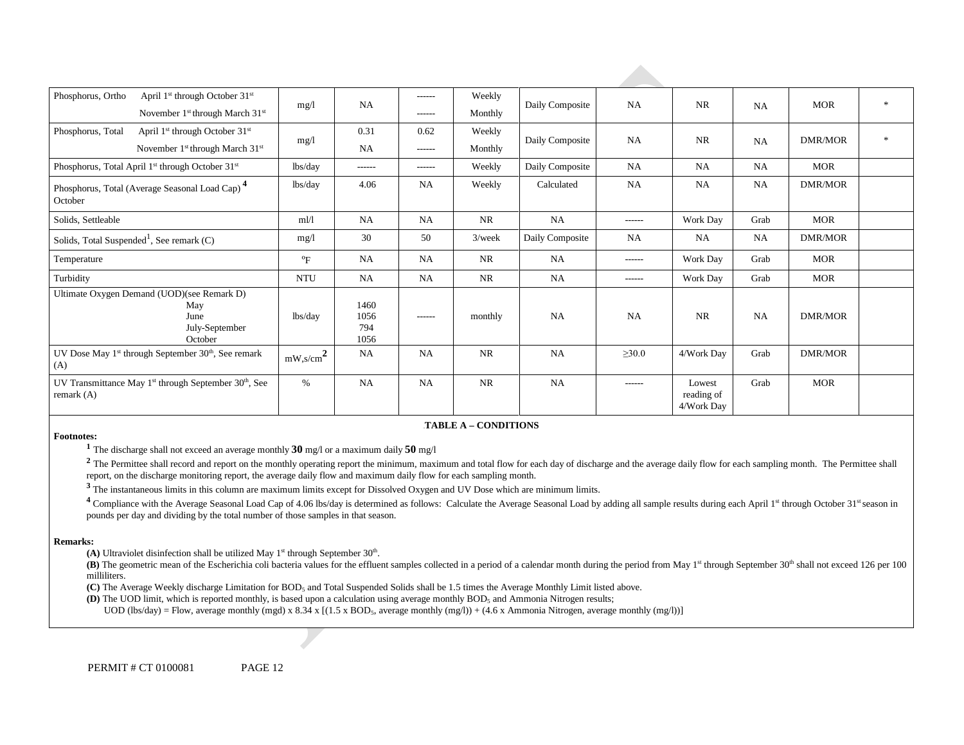| Phosphorus, Ortho<br>April 1 <sup>st</sup> through October 31 <sup>st</sup>            | mg/1                      | NA                          | $- - - - - -$ | Weekly    | Daily Composite | <b>NA</b>     | <b>NR</b>                          | NA        | <b>MOR</b>     | $\ast$       |
|----------------------------------------------------------------------------------------|---------------------------|-----------------------------|---------------|-----------|-----------------|---------------|------------------------------------|-----------|----------------|--------------|
| November 1 <sup>st</sup> through March 31 <sup>st</sup>                                |                           |                             | $- - - - - -$ | Monthly   |                 |               |                                    |           |                |              |
| Phosphorus, Total<br>April 1 <sup>st</sup> through October 31 <sup>st</sup>            | mg/1                      | 0.31                        | 0.62          | Weekly    | Daily Composite | <b>NA</b>     | <b>NR</b>                          |           | <b>DMR/MOR</b> | $\mathbf{x}$ |
| November 1 <sup>st</sup> through March 31 <sup>st</sup>                                |                           | <b>NA</b>                   | $- - - - - -$ | Monthly   |                 |               |                                    | NA        |                |              |
| Phosphorus, Total April 1 <sup>st</sup> through October 31 <sup>st</sup>               | lbs/day                   | ------                      | ------        | Weekly    | Daily Composite | NA            | <b>NA</b>                          | NA        | <b>MOR</b>     |              |
| Phosphorus, Total (Average Seasonal Load Cap) <sup>4</sup><br>October                  | lbs/day                   | 4.06                        | <b>NA</b>     | Weekly    | Calculated      | NA            | <b>NA</b>                          | NA        | DMR/MOR        |              |
| Solids, Settleable                                                                     | m1/1                      | <b>NA</b>                   | <b>NA</b>     | NR.       | NA              | $- - - - - -$ | Work Day                           | Grab      | <b>MOR</b>     |              |
| Solids, Total Suspended <sup>1</sup> , See remark $(C)$                                | mg/1                      | 30                          | 50            | $3$ /week | Daily Composite | <b>NA</b>     | NA                                 | NA        | DMR/MOR        |              |
| Temperature                                                                            | $\mathrm{P}_{\mathrm{F}}$ | <b>NA</b>                   | <b>NA</b>     | <b>NR</b> | <b>NA</b>       | -------       | Work Day                           | Grab      | MOR            |              |
| Turbidity                                                                              | <b>NTU</b>                | NA                          | <b>NA</b>     | <b>NR</b> | NA              | $- - - - - -$ | Work Day                           | Grab      | MOR            |              |
| Ultimate Oxygen Demand (UOD)(see Remark D)<br>May<br>June<br>July-September<br>October | lbs/day                   | 1460<br>1056<br>794<br>1056 | $- - - - - -$ | monthly   | NA              | <b>NA</b>     | <b>NR</b>                          | <b>NA</b> | <b>DMR/MOR</b> |              |
| UV Dose May $1st$ through September $30th$ , See remark<br>(A)                         | $mW$ ,s/cm <sup>2</sup>   | NA                          | <b>NA</b>     | <b>NR</b> | <b>NA</b>       | $\geq 30.0$   | 4/Work Day                         | Grab      | DMR/MOR        |              |
| UV Transmittance May $1st$ through September 30 <sup>th</sup> , See<br>remark $(A)$    | $\%$                      | <b>NA</b>                   | <b>NA</b>     | <b>NR</b> | NA              | ------        | Lowest<br>reading of<br>4/Work Day | Grab      | <b>MOR</b>     |              |

#### 6B**TABLE A – CONDITIONS**

**Footnotes: 1** The discharge shall not exceed an average monthly **30** mg/l or a maximum daily **50** mg/l

<sup>2</sup> The Permittee shall record and report on the monthly operating report the minimum, maximum and total flow for each day of discharge and the average daily flow for each sampling month. The Permittee shall report, on the discharge monitoring report, the average daily flow and maximum daily flow for each sampling month.

 **<sup>3</sup>**The instantaneous limits in this column are maximum limits except for Dissolved Oxygen and UV Dose which are minimum limits.

<sup>4</sup> Compliance with the Average Seasonal Load Cap of 4.06 lbs/day is determined as follows: Calculate the Average Seasonal Load by adding all sample results during each April 1<sup>st</sup> through October 31<sup>st</sup> season in pounds per day and dividing by the total number of those samples in that season.

#### **Remarks:**

(A) Ultraviolet disinfection shall be utilized May  $1<sup>st</sup>$  through September  $30<sup>th</sup>$ .

(B) The geometric mean of the Escherichia coli bacteria values for the effluent samples collected in a period of a calendar month during the period from May 1<sup>st</sup> through September 30<sup>th</sup> shall not exceed 126 per 100 milliliters.

**(C)** The Average Weekly discharge Limitation for BOD5 and Total Suspended Solids shall be 1.5 times the Average Monthly Limit listed above.

**(D)** The UOD limit, which is reported monthly, is based upon a calculation using average monthly BOD5 and Ammonia Nitrogen results;

UOD (lbs/day) = Flow, average monthly (mgd) x 8.34 x [(1.5 x BOD<sub>5</sub>, average monthly (mg/l)) + (4.6 x Ammonia Nitrogen, average monthly (mg/l))]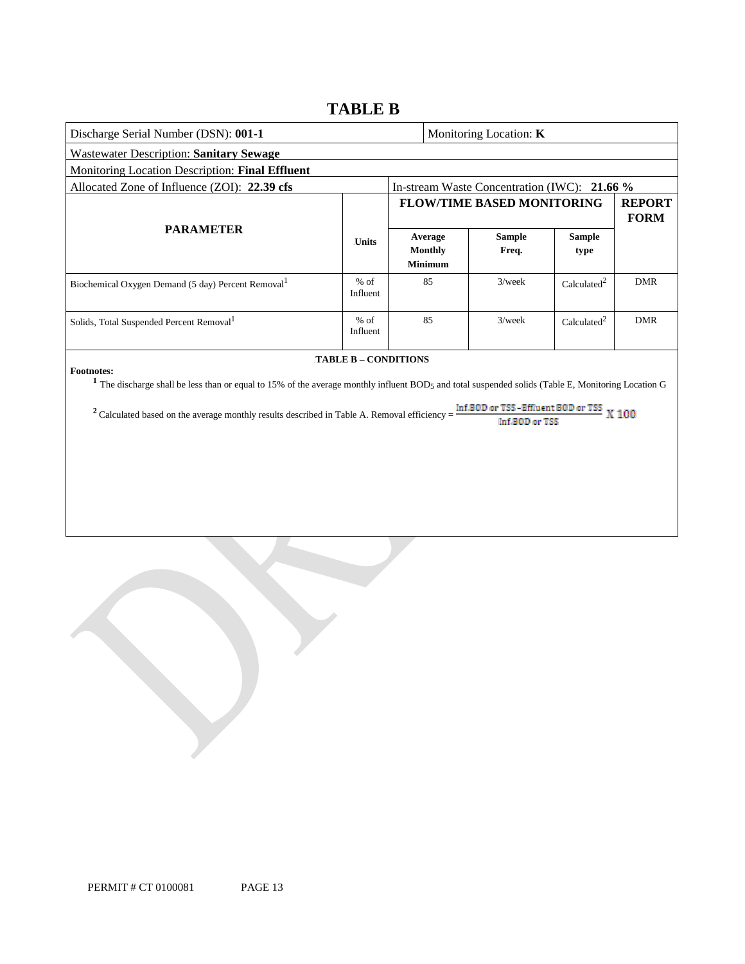### **TABLE B**

| Discharge Serial Number (DSN): 001-1                                                                                                                                                                                                                                                             |                      |                                      | Monitoring Location: K                                     |                         |                              |
|--------------------------------------------------------------------------------------------------------------------------------------------------------------------------------------------------------------------------------------------------------------------------------------------------|----------------------|--------------------------------------|------------------------------------------------------------|-------------------------|------------------------------|
| Wastewater Description: Sanitary Sewage                                                                                                                                                                                                                                                          |                      |                                      |                                                            |                         |                              |
| Monitoring Location Description: Final Effluent                                                                                                                                                                                                                                                  |                      |                                      |                                                            |                         |                              |
| Allocated Zone of Influence (ZOI): 22.39 cfs                                                                                                                                                                                                                                                     |                      |                                      | In-stream Waste Concentration (IWC): 21.66 %               |                         |                              |
|                                                                                                                                                                                                                                                                                                  |                      |                                      | <b>FLOW/TIME BASED MONITORING</b>                          |                         | <b>REPORT</b><br><b>FORM</b> |
| <b>PARAMETER</b>                                                                                                                                                                                                                                                                                 | <b>Units</b>         | Average<br>Monthly<br><b>Minimum</b> | <b>Sample</b><br>Freq.                                     | <b>Sample</b><br>type   |                              |
| Biochemical Oxygen Demand (5 day) Percent Removal <sup>1</sup>                                                                                                                                                                                                                                   | $%$ of<br>Influent   | 85                                   | $3$ /week                                                  | Calculated <sup>2</sup> | <b>DMR</b>                   |
| Solids, Total Suspended Percent Removal <sup>1</sup>                                                                                                                                                                                                                                             | $%$ of<br>Influent   | 85                                   | $3$ /week                                                  | Calculated <sup>2</sup> | <b>DMR</b>                   |
| <b>Footnotes:</b><br><sup>1</sup> The discharge shall be less than or equal to 15% of the average monthly influent BOD <sub>5</sub> and total suspended solids (Table E, Monitoring Location G<br>$2$ Calculated based on the average monthly results described in Table A. Removal efficiency = | TABLE B - CONDITIONS |                                      | Inf.BOD or TSS-Effluent BOD or TSS X 100<br>Inf.BOD or TSS |                         |                              |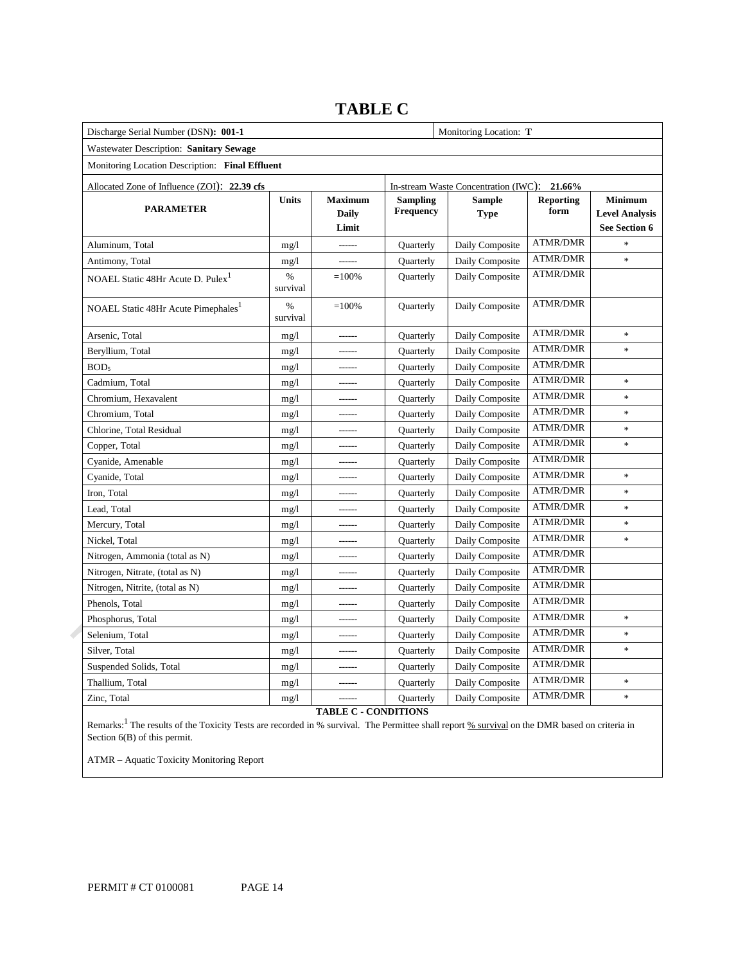| Discharge Serial Number (DSN): 001-1            |                           |                                  |                              | Monitoring Location: T                      |                          |                                                          |
|-------------------------------------------------|---------------------------|----------------------------------|------------------------------|---------------------------------------------|--------------------------|----------------------------------------------------------|
| Wastewater Description: Sanitary Sewage         |                           |                                  |                              |                                             |                          |                                                          |
| Monitoring Location Description: Final Effluent |                           |                                  |                              |                                             |                          |                                                          |
| Allocated Zone of Influence (ZOI): 22.39 cfs    |                           |                                  |                              | In-stream Waste Concentration (IWC): 21.66% |                          |                                                          |
| <b>PARAMETER</b>                                | <b>Units</b>              | <b>Maximum</b><br>Daily<br>Limit | <b>Sampling</b><br>Frequency | <b>Sample</b><br><b>Type</b>                | <b>Reporting</b><br>form | <b>Minimum</b><br><b>Level Analysis</b><br>See Section 6 |
| Aluminum, Total                                 | mg/1                      |                                  | Quarterly                    | Daily Composite                             | <b>ATMR/DMR</b>          | $\frac{1}{2}$                                            |
| Antimony, Total                                 | mg/1                      | $- - - - - -$                    | Quarterly                    | Daily Composite                             | <b>ATMR/DMR</b>          | ×                                                        |
| NOAEL Static 48Hr Acute D. Pulex <sup>1</sup>   | %<br>survival             | $=100%$                          | Quarterly                    | Daily Composite                             | <b>ATMR/DMR</b>          |                                                          |
| NOAEL Static 48Hr Acute Pimephales <sup>1</sup> | $\frac{0}{0}$<br>survival | $=100%$                          | Quarterly                    | Daily Composite                             | <b>ATMR/DMR</b>          |                                                          |
| Arsenic, Total                                  | mg/1                      |                                  | Quarterly                    | Daily Composite                             | <b>ATMR/DMR</b>          | $\frac{1}{2}$                                            |
| Beryllium, Total                                | mg/1                      | $1 - 1 - 1$                      | Quarterly                    | Daily Composite                             | <b>ATMR/DMR</b>          | $\ast$                                                   |
| BOD <sub>5</sub>                                | mg/1                      | ------                           | Quarterly                    | Daily Composite                             | <b>ATMR/DMR</b>          |                                                          |
| Cadmium, Total                                  | mg/1                      |                                  | Quarterly                    | Daily Composite                             | <b>ATMR/DMR</b>          | $\ast$                                                   |
| Chromium, Hexavalent                            | mg/1                      | $- - - - -$                      | Quarterly                    | Daily Composite                             | <b>ATMR/DMR</b>          | $\frac{1}{2}$                                            |
| Chromium, Total                                 | mg/1                      |                                  | Quarterly                    | Daily Composite                             | <b>ATMR/DMR</b>          | $\ast$                                                   |
| Chlorine, Total Residual                        | mg/1                      | $- - - - - -$                    | <b>Quarterly</b>             | Daily Composite                             | <b>ATMR/DMR</b>          | $\frac{1}{2}$                                            |
| Copper, Total                                   | mg/1                      |                                  | Quarterly                    | Daily Composite                             | <b>ATMR/DMR</b>          | $\ast$                                                   |
| Cyanide, Amenable                               | mg/1                      | $- - - - - -$                    | Quarterly                    | Daily Composite                             | <b>ATMR/DMR</b>          |                                                          |
| Cyanide, Total                                  | mg/1                      |                                  | Quarterly                    | Daily Composite                             | <b>ATMR/DMR</b>          | $\ast$                                                   |
| Iron, Total                                     | mg/1                      | $- - - - - -$                    | Quarterly                    | Daily Composite                             | <b>ATMR/DMR</b>          | $\ast$                                                   |
| Lead, Total                                     | mg/1                      |                                  | Quarterly                    | Daily Composite                             | <b>ATMR/DMR</b>          | $\frac{1}{2}$                                            |
| Mercury, Total                                  | mg/1                      | $- - - - - -$                    | Quarterly                    | Daily Composite                             | <b>ATMR/DMR</b>          | $\ast$                                                   |
| Nickel, Total                                   | mg/1                      |                                  | Quarterly                    | Daily Composite                             | <b>ATMR/DMR</b>          | $\frac{1}{2}$                                            |
| Nitrogen, Ammonia (total as N)                  | mg/1                      | ------                           | Quarterly                    | Daily Composite                             | <b>ATMR/DMR</b>          |                                                          |
| Nitrogen, Nitrate, (total as N)                 | mg/1                      |                                  | Quarterly                    | Daily Composite                             | <b>ATMR/DMR</b>          |                                                          |
| Nitrogen, Nitrite, (total as N)                 | mg/1                      |                                  | Quarterly                    | Daily Composite                             | <b>ATMR/DMR</b>          |                                                          |
| Phenols, Total                                  | mg/1                      | $- - - - - -$                    | Quarterly                    | Daily Composite                             | <b>ATMR/DMR</b>          |                                                          |
| Phosphorus, Total                               | mg/1                      |                                  | Quarterly                    | Daily Composite                             | <b>ATMR/DMR</b>          | $\frac{1}{2}$                                            |
| Selenium, Total                                 | mg/1                      | $- - - - - -$                    | Quarterly                    | Daily Composite                             | <b>ATMR/DMR</b>          | $\ast$                                                   |
| Silver, Total                                   | mg/1                      |                                  | Quarterly                    | Daily Composite                             | <b>ATMR/DMR</b>          | $\ast$                                                   |
| Suspended Solids, Total                         | mg/1                      | $- - - - - -$                    | Quarterly                    | Daily Composite                             | <b>ATMR/DMR</b>          |                                                          |
| Thallium, Total                                 | mg/1                      |                                  | Quarterly                    | Daily Composite                             | <b>ATMR/DMR</b>          | $\ast$                                                   |
| Zinc, Total                                     | mg/1                      | -------                          | Quarterly                    | Daily Composite                             | <b>ATMR/DMR</b>          | $\ast$                                                   |

### **TABLE C**

**TABLE C - CONDITIONS** 

Remarks:<sup>1</sup> The results of the Toxicity Tests are recorded in % survival. The Permittee shall report <u>% survival</u> on the DMR based on criteria in Section 6(B) of this permit.

ATMR – Aquatic Toxicity Monitoring Report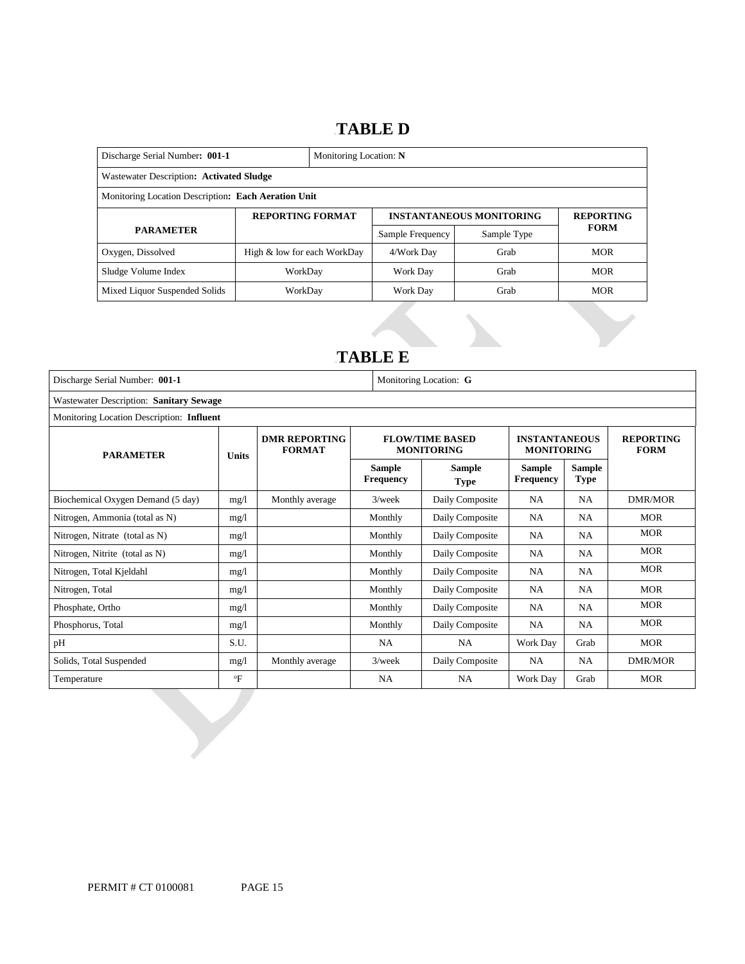### 16B**TABLE D**

| Discharge Serial Number: 001-1<br>Monitoring Location: N |                             |  |                  |                                 |                  |  |
|----------------------------------------------------------|-----------------------------|--|------------------|---------------------------------|------------------|--|
| Wastewater Description: Activated Sludge                 |                             |  |                  |                                 |                  |  |
| Monitoring Location Description: Each Aeration Unit      |                             |  |                  |                                 |                  |  |
| <b>REPORTING FORMAT</b>                                  |                             |  |                  | <b>INSTANTANEOUS MONITORING</b> | <b>REPORTING</b> |  |
| <b>PARAMETER</b>                                         |                             |  | Sample Frequency | Sample Type                     | <b>FORM</b>      |  |
| Oxygen, Dissolved                                        | High & low for each WorkDay |  | 4/Work Day       | Grab                            | <b>MOR</b>       |  |
| Sludge Volume Index                                      | WorkDav                     |  | Grab<br>Work Day |                                 | <b>MOR</b>       |  |
| Mixed Liquor Suspended Solids                            | WorkDay                     |  | Work Day         | Grab                            | <b>MOR</b>       |  |

## 17B**TABLE E**

| Discharge Serial Number: 001-1            |              | Monitoring Location: G                |                                   |                                             |                                           |                              |                                 |
|-------------------------------------------|--------------|---------------------------------------|-----------------------------------|---------------------------------------------|-------------------------------------------|------------------------------|---------------------------------|
| Wastewater Description: Sanitary Sewage   |              |                                       |                                   |                                             |                                           |                              |                                 |
| Monitoring Location Description: Influent |              |                                       |                                   |                                             |                                           |                              |                                 |
| <b>PARAMETER</b>                          | <b>Units</b> | <b>DMR REPORTING</b><br><b>FORMAT</b> |                                   | <b>FLOW/TIME BASED</b><br><b>MONITORING</b> | <b>INSTANTANEOUS</b><br><b>MONITORING</b> |                              | <b>REPORTING</b><br><b>FORM</b> |
|                                           |              |                                       | <b>Sample</b><br><b>Frequency</b> | Sample<br><b>Type</b>                       | <b>Sample</b><br><b>Frequency</b>         | <b>Sample</b><br><b>Type</b> |                                 |
| Biochemical Oxygen Demand (5 day)         | mg/l         | Monthly average                       | $3$ /week                         | Daily Composite                             | NA.                                       | <b>NA</b>                    | DMR/MOR                         |
| Nitrogen, Ammonia (total as N)            | mg/1         |                                       | Monthly                           | Daily Composite                             | NA                                        | NA                           | <b>MOR</b>                      |
| Nitrogen, Nitrate (total as N)            | mg/l         |                                       | Monthly                           | Daily Composite                             | NA                                        | NA                           | <b>MOR</b>                      |
| Nitrogen, Nitrite (total as N)            | mg/l         |                                       | Monthly                           | Daily Composite                             | <b>NA</b>                                 | <b>NA</b>                    | <b>MOR</b>                      |
| Nitrogen, Total Kjeldahl                  | mg/l         |                                       | Monthly                           | Daily Composite                             | <b>NA</b>                                 | <b>NA</b>                    | <b>MOR</b>                      |
| Nitrogen, Total                           | mg/l         |                                       | Monthly                           | Daily Composite                             | NA                                        | NA                           | <b>MOR</b>                      |
| Phosphate, Ortho                          | mg/1         |                                       | Monthly                           | Daily Composite                             | NA                                        | NA                           | <b>MOR</b>                      |
| Phosphorus, Total                         | mg/1         |                                       | Monthly                           | Daily Composite                             | NA                                        | <b>NA</b>                    | <b>MOR</b>                      |
| pH                                        | S.U.         |                                       | <b>NA</b>                         | <b>NA</b>                                   | Work Day                                  | Grab                         | <b>MOR</b>                      |
| Solids, Total Suspended                   | mg/1         | Monthly average                       | $3$ /week                         | Daily Composite                             | <b>NA</b>                                 | <b>NA</b>                    | DMR/MOR                         |
| Temperature                               | $\mathrm{P}$ |                                       | NA                                | <b>NA</b>                                   | Work Day                                  | Grab                         | <b>MOR</b>                      |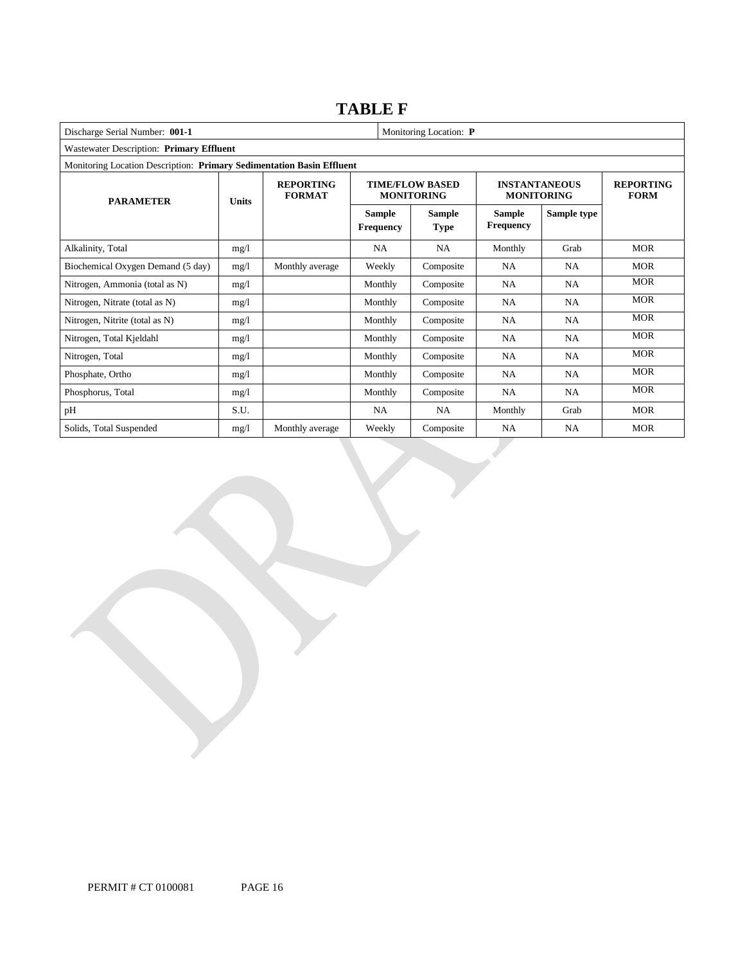### **TABLE F**

| Discharge Serial Number: 001-1<br>Monitoring Location: P              |              |                                   |                            |                                             |                                           |                                 |            |
|-----------------------------------------------------------------------|--------------|-----------------------------------|----------------------------|---------------------------------------------|-------------------------------------------|---------------------------------|------------|
| Wastewater Description: Primary Effluent                              |              |                                   |                            |                                             |                                           |                                 |            |
| Monitoring Location Description: Primary Sedimentation Basin Effluent |              |                                   |                            |                                             |                                           |                                 |            |
| <b>PARAMETER</b>                                                      | <b>Units</b> | <b>REPORTING</b><br><b>FORMAT</b> |                            | <b>TIME/FLOW BASED</b><br><b>MONITORING</b> | <b>INSTANTANEOUS</b><br><b>MONITORING</b> | <b>REPORTING</b><br><b>FORM</b> |            |
|                                                                       |              |                                   | <b>Sample</b><br>Frequency | <b>Sample</b><br><b>Type</b>                | <b>Sample</b><br><b>Frequency</b>         | Sample type                     |            |
| Alkalinity, Total                                                     | mg/1         |                                   | <b>NA</b>                  | <b>NA</b>                                   | Monthly                                   | Grab                            | <b>MOR</b> |
| Biochemical Oxygen Demand (5 day)                                     | mg/1         | Monthly average                   | Weekly                     | Composite                                   | NA                                        | NA                              | <b>MOR</b> |
| Nitrogen, Ammonia (total as N)                                        | mg/1         |                                   | Monthly                    | Composite                                   | NA                                        | NA                              | <b>MOR</b> |
| Nitrogen, Nitrate (total as N)                                        | mg/1         |                                   | Monthly                    | Composite                                   | <b>NA</b>                                 | <b>NA</b>                       | <b>MOR</b> |
| Nitrogen, Nitrite (total as N)                                        | mg/1         |                                   | Monthly                    | Composite                                   | NA                                        | <b>NA</b>                       | <b>MOR</b> |
| Nitrogen, Total Kjeldahl                                              | mg/1         |                                   | Monthly                    | Composite                                   | NA                                        | <b>NA</b>                       | <b>MOR</b> |
| Nitrogen, Total                                                       | mg/1         |                                   | Monthly                    | Composite                                   | NA                                        | <b>NA</b>                       | <b>MOR</b> |
| Phosphate, Ortho                                                      | mg/1         |                                   | Monthly                    | Composite                                   | NA                                        | <b>NA</b>                       | <b>MOR</b> |
| Phosphorus, Total                                                     | mg/1         |                                   | Monthly                    | Composite                                   | NA                                        | <b>NA</b>                       | <b>MOR</b> |
| pH                                                                    | S.U.         |                                   | NA                         | NA                                          | Monthly                                   | Grab                            | <b>MOR</b> |
| Solids, Total Suspended                                               | mg/l         | Monthly average                   | Weekly                     | Composite                                   | NA                                        | NA                              | <b>MOR</b> |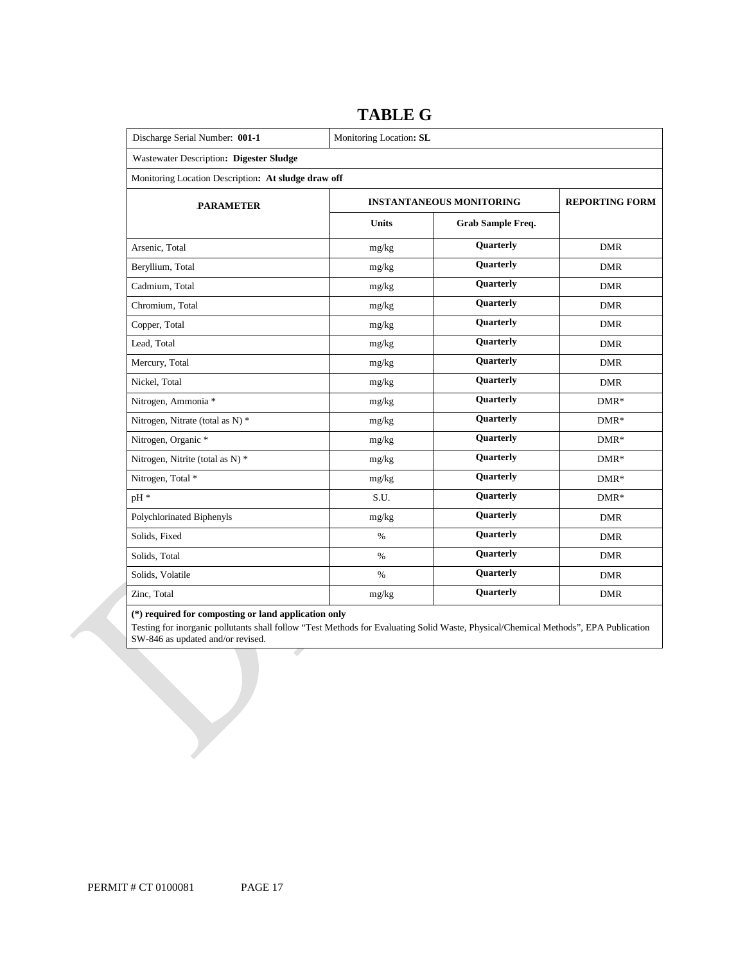| Discharge Serial Number: 001-1                      | Monitoring Location: SL           |                       |            |  |  |
|-----------------------------------------------------|-----------------------------------|-----------------------|------------|--|--|
| Wastewater Description: Digester Sludge             |                                   |                       |            |  |  |
| Monitoring Location Description: At sludge draw off |                                   |                       |            |  |  |
| <b>PARAMETER</b>                                    | <b>INSTANTANEOUS MONITORING</b>   | <b>REPORTING FORM</b> |            |  |  |
|                                                     | <b>Units</b><br>Grab Sample Freq. |                       |            |  |  |
| Arsenic, Total                                      | mg/kg                             | Quarterly             | <b>DMR</b> |  |  |
| Beryllium, Total                                    | mg/kg                             | Quarterly             | <b>DMR</b> |  |  |
| Cadmium, Total                                      | mg/kg                             | <b>Quarterly</b>      | <b>DMR</b> |  |  |
| Chromium, Total                                     | mg/kg                             | Quarterly             | <b>DMR</b> |  |  |
| Copper, Total                                       | mg/kg                             | Quarterly             | <b>DMR</b> |  |  |
| Lead, Total                                         | mg/kg                             | <b>Quarterly</b>      | <b>DMR</b> |  |  |
| Mercury, Total                                      | mg/kg                             | <b>Quarterly</b>      | <b>DMR</b> |  |  |
| Nickel, Total                                       | mg/kg                             | Quarterly             | <b>DMR</b> |  |  |
| Nitrogen, Ammonia *                                 | mg/kg                             | <b>Quarterly</b>      | $DMR*$     |  |  |
| Nitrogen, Nitrate (total as N) *                    | mg/kg                             | Quarterly             | $DMR*$     |  |  |
| Nitrogen, Organic *                                 | mg/kg                             | Quarterly             | $DMR*$     |  |  |
| Nitrogen, Nitrite (total as N) *                    | mg/kg                             | Quarterly             | $DMR*$     |  |  |
| Nitrogen, Total *                                   | mg/kg                             | <b>Quarterly</b>      | $DMR*$     |  |  |
| pH *                                                | S.U.                              | <b>Quarterly</b>      | $DMR*$     |  |  |
| Polychlorinated Biphenyls                           | mg/kg                             | Quarterly             | <b>DMR</b> |  |  |
| Solids, Fixed                                       | $\%$                              | <b>Quarterly</b>      | <b>DMR</b> |  |  |
| Solids, Total                                       | $\%$                              | <b>Quarterly</b>      | <b>DMR</b> |  |  |
| Solids, Volatile                                    | $\%$                              | <b>Quarterly</b>      | <b>DMR</b> |  |  |
| Zinc, Total                                         | mg/kg                             | <b>Quarterly</b>      | <b>DMR</b> |  |  |

### **TABLE G**

### **(\*) required for composting or land application only**

 Testing for inorganic pollutants shall follow "Test Methods for Evaluating Solid Waste, Physical/Chemical Methods", EPA Publication SW-846 as updated and/or revised.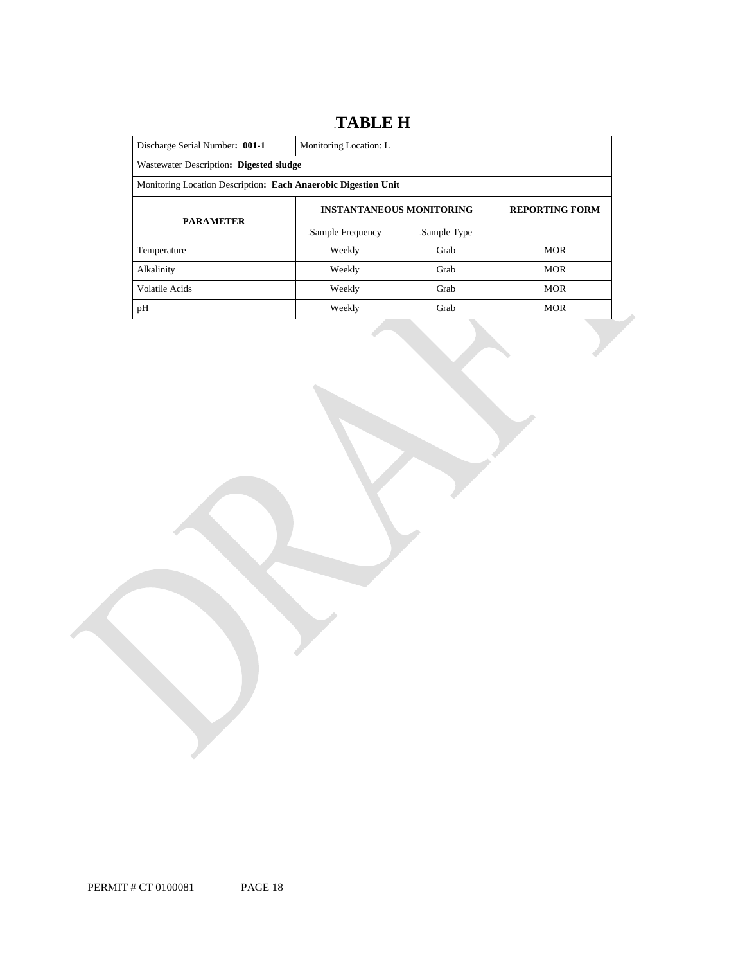### 18B**TABLE H**

| Discharge Serial Number: 001-1                                 | Monitoring Location: L                  |                       |            |  |  |
|----------------------------------------------------------------|-----------------------------------------|-----------------------|------------|--|--|
|                                                                | Wastewater Description: Digested sludge |                       |            |  |  |
| Monitoring Location Description: Each Anaerobic Digestion Unit |                                         |                       |            |  |  |
|                                                                | <b>INSTANTANEOUS MONITORING</b>         | <b>REPORTING FORM</b> |            |  |  |
| <b>PARAMETER</b>                                               | Sample Frequency                        | Sample Type           |            |  |  |
| Temperature                                                    | Weekly                                  | Grab                  | <b>MOR</b> |  |  |
| Alkalinity                                                     | Weekly                                  | Grab                  | <b>MOR</b> |  |  |
| Volatile Acids                                                 | Weekly                                  | Grab                  | <b>MOR</b> |  |  |
| pH                                                             | Weekly                                  | Grab                  | <b>MOR</b> |  |  |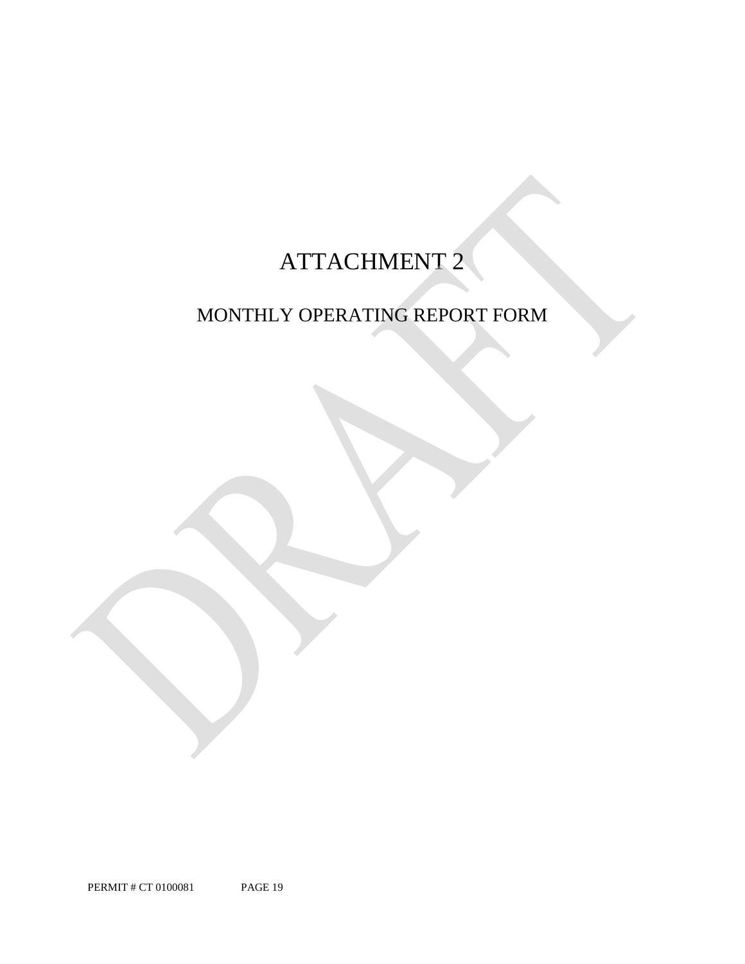# ATTACHMENT 2

## MONTHLY OPERATING REPORT FORM

PERMIT # CT 0100081 PAGE 19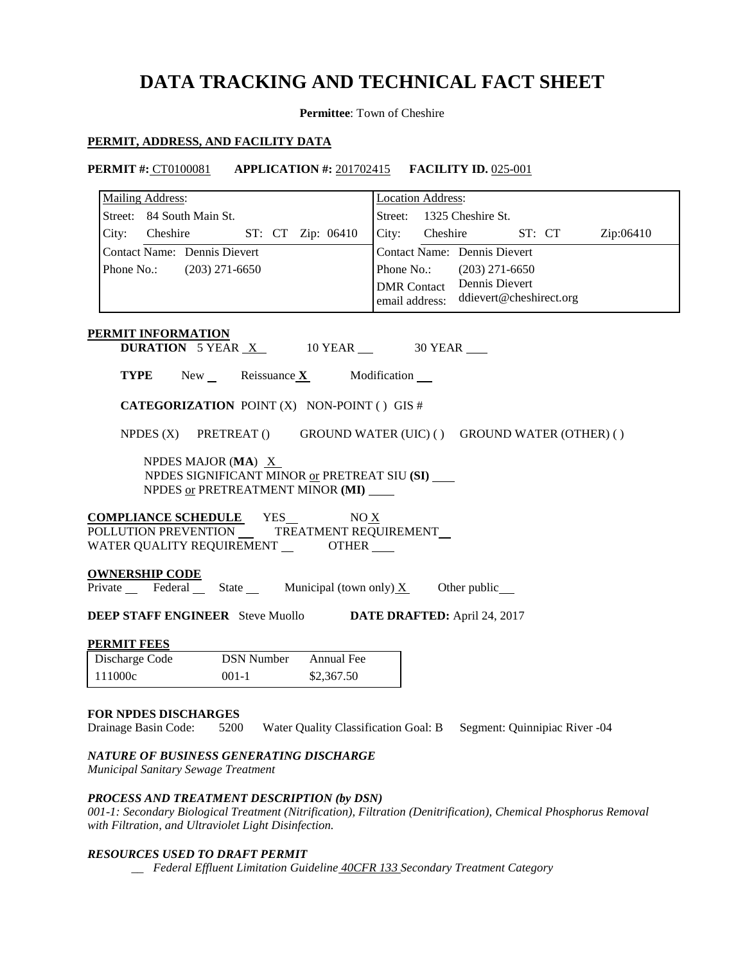## **DATA TRACKING AND TECHNICAL FACT SHEET**

**Permittee**: Town of Cheshire

### **PERMIT, ADDRESS, AND FACILITY DATA**

**PERMIT #:** CT0100081 **APPLICATION #:** 201702415 **FACILITY ID.** 025-001

| <b>Mailing Address:</b>                       |                                                                                              | <b>Location Address:</b> |                                     |        |           |
|-----------------------------------------------|----------------------------------------------------------------------------------------------|--------------------------|-------------------------------------|--------|-----------|
| Street: 84 South Main St.                     |                                                                                              | Street:                  | 1325 Cheshire St.                   |        |           |
| City: Cheshire                                | ST: CT Zip: 06410                                                                            | City:<br>Cheshire        |                                     | ST: CT | Zip:06410 |
| <b>Contact Name:</b> Dennis Dievert           |                                                                                              |                          | <b>Contact Name:</b> Dennis Dievert |        |           |
| Phone No.:                                    | $(203)$ 271-6650                                                                             | Phone No.:               | $(203)$ 271-6650                    |        |           |
|                                               |                                                                                              |                          | <b>DMR</b> Contact Dennis Dievert   |        |           |
|                                               |                                                                                              | email address:           | ddievert@cheshirect.org             |        |           |
| PERMIT INFORMATION                            |                                                                                              |                          |                                     |        |           |
|                                               | <b>DURATION</b> 5 YEAR $X$ 10 YEAR $\_\$ 30 YEAR                                             |                          |                                     |        |           |
|                                               | <b>TYPE</b> New Reissuance $X$ Modification $\blacksquare$                                   |                          |                                     |        |           |
|                                               | <b>CATEGORIZATION POINT (X) NON-POINT () GIS #</b>                                           |                          |                                     |        |           |
| NPDES $(X)$                                   | PRETREAT ()<br>GROUND WATER (UIC) () GROUND WATER (OTHER) ()                                 |                          |                                     |        |           |
|                                               | NPDES MAJOR (MA) $X$                                                                         |                          |                                     |        |           |
|                                               | NPDES SIGNIFICANT MINOR or PRETREAT SIU (SI)                                                 |                          |                                     |        |           |
|                                               | NPDES or PRETREATMENT MINOR (MI)                                                             |                          |                                     |        |           |
|                                               | <b>COMPLIANCE SCHEDULE</b> YES_<br>NO X                                                      |                          |                                     |        |           |
|                                               | POLLUTION PREVENTION _____ TREATMENT REQUIREMENT __                                          |                          |                                     |        |           |
|                                               | WATER QUALITY REQUIREMENT ________OTHER ____                                                 |                          |                                     |        |           |
| <b>OWNERSHIP CODE</b>                         |                                                                                              |                          |                                     |        |           |
|                                               | Private Federal State Municipal (town only) X                                                |                          | Other public                        |        |           |
|                                               | <b>DEEP STAFF ENGINEER</b> Steve Muollo <b>DATE DRAFTED:</b> April 24, 2017                  |                          |                                     |        |           |
| <u>PERMIT FEES</u>                            |                                                                                              |                          |                                     |        |           |
| Discharge Code                                | <b>DSN Number</b><br>Annual Fee                                                              |                          |                                     |        |           |
| 111000c                                       | $001-1$<br>\$2,367.50                                                                        |                          |                                     |        |           |
|                                               |                                                                                              |                          |                                     |        |           |
| <b>FOR NPDES DISCHARGES</b>                   |                                                                                              |                          |                                     |        |           |
|                                               | Drainage Basin Code: 5200 Water Quality Classification Goal: B Segment: Quinnipiac River -04 |                          |                                     |        |           |
|                                               | NATURE OF BUSINESS GENERATING DISCHARGE                                                      |                          |                                     |        |           |
| <i>Montainal Canitain</i> , Course Treaturent |                                                                                              |                          |                                     |        |           |

*Municipal Sanitary Sewage Treatment* 

### *PROCESS AND TREATMENT DESCRIPTION (by DSN)*

*001-1: Secondary Biological Treatment (Nitrification), Filtration (Denitrification), Chemical Phosphorus Removal with Filtration, and Ultraviolet Light Disinfection.* 

### *RESOURCES USED TO DRAFT PERMIT*

 *\_\_ Federal Effluent Limitation Guideline 40CFR 133 Secondary Treatment Category*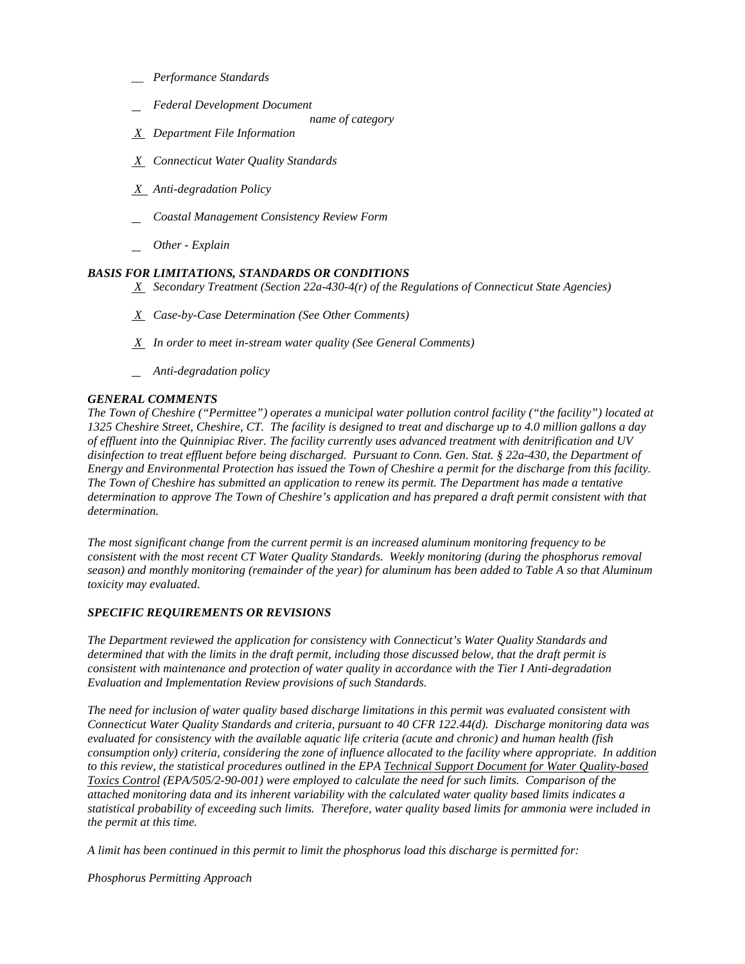- *\_\_ Performance Standards*
- *Federal Development Document* 
	- *name of category*
- *X Department File Information*
- *X Connecticut Water Quality Standards*
- *X Anti-degradation Policy*
- *Coastal Management Consistency Review Form*
- *Other - Explain*

### *BASIS FOR LIMITATIONS, STANDARDS OR CONDITIONS*

- *X Secondary Treatment (Section 22a-430-4(r) of the Regulations of Connecticut State Agencies)*
- *X Case-by-Case Determination (See Other Comments)*
- *X In order to meet in-stream water quality (See General Comments)*
- *Anti-degradation policy*

### *GENERAL COMMENTS*

 *1325 Cheshire Street, Cheshire, CT. The facility is designed to treat and discharge up to 4.0 million gallons a day of effluent into the Quinnipiac River. The facility currently uses advanced treatment with denitrification and UV Energy and Environmental Protection has issued the Town of Cheshire a permit for the discharge from this facility.*  determination to approve The Town of Cheshire's application and has prepared a draft permit consistent with that  $determination.$ *The Town of Cheshire ("Permittee") operates a municipal water pollution control facility ("the facility") located at disinfection to treat effluent before being discharged. Pursuant to Conn. Gen. Stat. § 22a-430, the Department of The Town of Cheshire has submitted an application to renew its permit. The Department has made a tentative* 

*The most significant change from the current permit is an increased aluminum monitoring frequency to be consistent with the most recent CT Water Quality Standards. Weekly monitoring (during the phosphorus removal season) and monthly monitoring (remainder of the year) for aluminum has been added to Table A so that Aluminum toxicity may evaluated.* 

### *SPECIFIC REQUIREMENTS OR REVISIONS*

**Evaluation and Implementation Review provisions of such Standards.** *The Department reviewed the application for consistency with Connecticut's Water Quality Standards and determined that with the limits in the draft permit, including those discussed below, that the draft permit is consistent with maintenance and protection of water quality in accordance with the Tier I Anti-degradation* 

 *Connecticut Water Quality Standards and criteria, pursuant to 40 CFR 122.44(d). Discharge monitoring data was consumption only) criteria, considering the zone of influence allocated to the facility where appropriate. In addition to this review, the statistical procedures outlined in the EPA Technical Support Document for Water Quality-based the permit at this time. The need for inclusion of water quality based discharge limitations in this permit was evaluated consistent with evaluated for consistency with the available aquatic life criteria (acute and chronic) and human health (fish Toxics Control (EPA/505/2-90-001) were employed to calculate the need for such limits. Comparison of the attached monitoring data and its inherent variability with the calculated water quality based limits indicates a statistical probability of exceeding such limits. Therefore, water quality based limits for ammonia were included in* 

*the permit at this time. A limit has been continued in this permit to limit the phosphorus load this discharge is permitted for:* 

*Phosphorus Permitting Approach*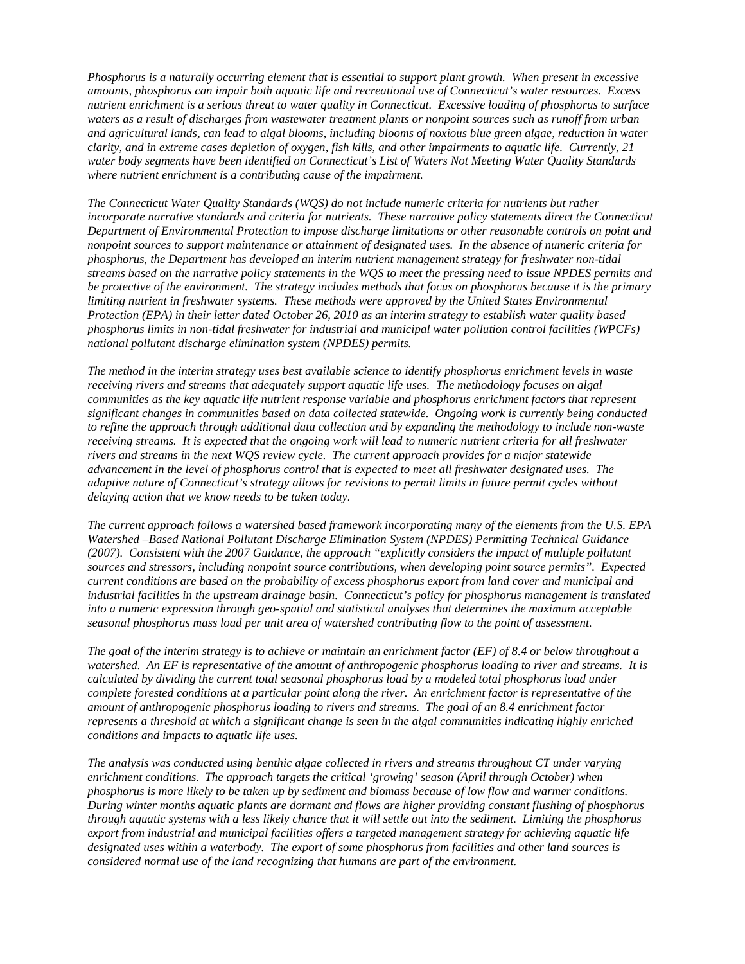*water body segments have been identified on Connecticut's List of Waters Not Meeting Water Quality Standards Phosphorus is a naturally occurring element that is essential to support plant growth. When present in excessive amounts, phosphorus can impair both aquatic life and recreational use of Connecticut's water resources. Excess nutrient enrichment is a serious threat to water quality in Connecticut. Excessive loading of phosphorus to surface waters as a result of discharges from wastewater treatment plants or nonpoint sources such as runoff from urban and agricultural lands, can lead to algal blooms, including blooms of noxious blue green algae, reduction in water clarity, and in extreme cases depletion of oxygen, fish kills, and other impairments to aquatic life. Currently, 21 where nutrient enrichment is a contributing cause of the impairment.* 

 *phosphorus limits in non-tidal freshwater for industrial and municipal water pollution control facilities (WPCFs) national pollutant discharge elimination system (NPDES) permits. The Connecticut Water Quality Standards (WQS) do not include numeric criteria for nutrients but rather incorporate narrative standards and criteria for nutrients. These narrative policy statements direct the Connecticut Department of Environmental Protection to impose discharge limitations or other reasonable controls on point and nonpoint sources to support maintenance or attainment of designated uses. In the absence of numeric criteria for phosphorus, the Department has developed an interim nutrient management strategy for freshwater non-tidal streams based on the narrative policy statements in the WQS to meet the pressing need to issue NPDES permits and be protective of the environment. The strategy includes methods that focus on phosphorus because it is the primary limiting nutrient in freshwater systems. These methods were approved by the United States Environmental Protection (EPA) in their letter dated October 26, 2010 as an interim strategy to establish water quality based* 

 *advancement in the level of phosphorus control that is expected to meet all freshwater designated uses. The The method in the interim strategy uses best available science to identify phosphorus enrichment levels in waste receiving rivers and streams that adequately support aquatic life uses. The methodology focuses on algal communities as the key aquatic life nutrient response variable and phosphorus enrichment factors that represent significant changes in communities based on data collected statewide. Ongoing work is currently being conducted to refine the approach through additional data collection and by expanding the methodology to include non-waste receiving streams. It is expected that the ongoing work will lead to numeric nutrient criteria for all freshwater rivers and streams in the next WQS review cycle. The current approach provides for a major statewide adaptive nature of Connecticut's strategy allows for revisions to permit limits in future permit cycles without delaying action that we know needs to be taken today.* 

 *seasonal phosphorus mass load per unit area of watershed contributing flow to the point of assessment. The current approach follows a watershed based framework incorporating many of the elements from the U.S. EPA Watershed –Based National Pollutant Discharge Elimination System (NPDES) Permitting Technical Guidance (2007). Consistent with the 2007 Guidance, the approach "explicitly considers the impact of multiple pollutant sources and stressors, including nonpoint source contributions, when developing point source permits". Expected current conditions are based on the probability of excess phosphorus export from land cover and municipal and industrial facilities in the upstream drainage basin. Connecticut's policy for phosphorus management is translated into a numeric expression through geo-spatial and statistical analyses that determines the maximum acceptable* 

*conditions and impacts to aquatic life uses. The goal of the interim strategy is to achieve or maintain an enrichment factor (EF) of 8.4 or below throughout a watershed. An EF is representative of the amount of anthropogenic phosphorus loading to river and streams. It is calculated by dividing the current total seasonal phosphorus load by a modeled total phosphorus load under complete forested conditions at a particular point along the river. An enrichment factor is representative of the amount of anthropogenic phosphorus loading to rivers and streams. The goal of an 8.4 enrichment factor represents a threshold at which a significant change is seen in the algal communities indicating highly enriched* 

phosphorus is more likely to be taken up by sediment and biomass because of low flow and warmer conditions.  *considered normal use of the land recognizing that humans are part of the environment. conditions and impacts to aquatic life uses. The analysis was conducted using benthic algae collected in rivers and streams throughout CT under varying enrichment conditions. The approach targets the critical 'growing' season (April through October) when*  During winter months aquatic plants are dormant and flows are higher providing constant flushing of phosphorus *through aquatic systems with a less likely chance that it will settle out into the sediment. Limiting the phosphorus export from industrial and municipal facilities offers a targeted management strategy for achieving aquatic life designated uses within a waterbody. The export of some phosphorus from facilities and other land sources is*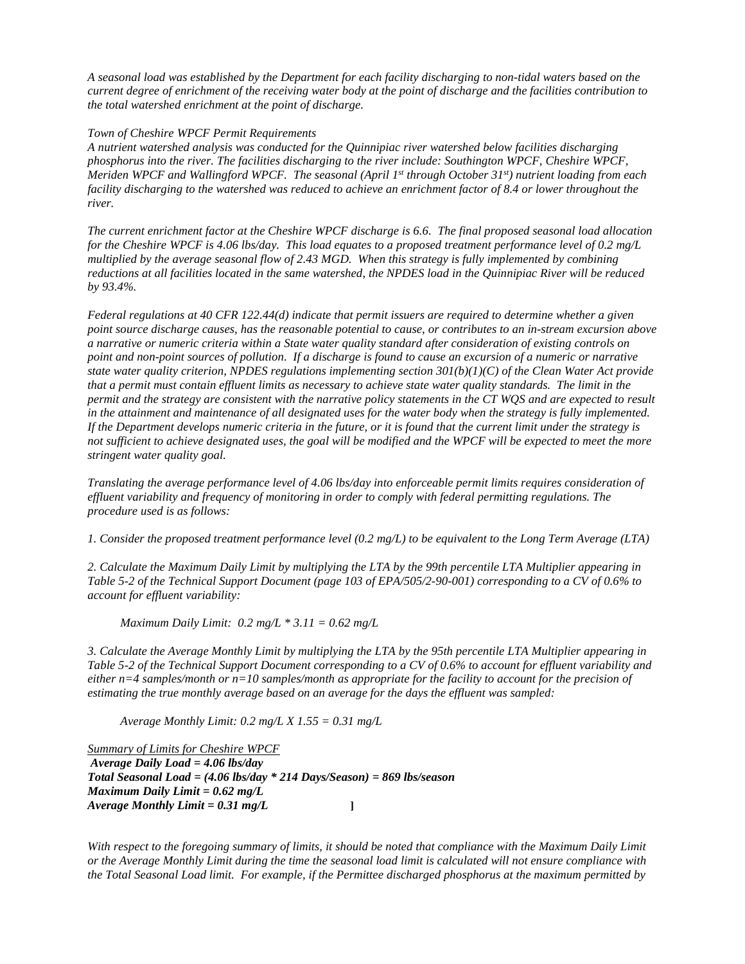*current degree of enrichment of the receiving water body at the point of discharge and the facilities contribution to the total watershed enrichment at the point of discharge. Town of Cheshire WPCF Permit Requirements A seasonal load was established by the Department for each facility discharging to non-tidal waters based on the* 

 *phosphorus into the river. The facilities discharging to the river include: Southington WPCF, Cheshire WPCF,*  river. *A nutrient watershed analysis was conducted for the Quinnipiac river watershed below facilities discharging Meriden WPCF and Wallingford WPCF. The seasonal (April 1<sup>st</sup> through October 31<sup>st</sup>) nutrient loading from each facility discharging to the watershed was reduced to achieve an enrichment factor of 8.4 or lower throughout the* 

river.<br>The current enrichment factor at the Cheshire WPCF discharge is 6.6. The final proposed seasonal load allocation  *for the Cheshire WPCF is 4.06 lbs/day. This load equates to a proposed treatment performance level of 0.2 mg/L multiplied by the average seasonal flow of 2.43 MGD. When this strategy is fully implemented by combining reductions at all facilities located in the same watershed, the NPDES load in the Quinnipiac River will be reduced by 93.4%. Federal regulations at 40 CFR 122.44(d) indicate that permit issuers are required to determine whether a given* 

in the attainment and maintenance of all designated uses for the water body when the strategy is fully implemented.<br>If the Department develops numeric criteria in the future, or it is found that the current limit under the *stringent water quality goal. point source discharge causes, has the reasonable potential to cause, or contributes to an in-stream excursion above a narrative or numeric criteria within a State water quality standard after consideration of existing controls on point and non-point sources of pollution. If a discharge is found to cause an excursion of a numeric or narrative state water quality criterion, NPDES regulations implementing section 301(b)(1)(C) of the Clean Water Act provide that a permit must contain effluent limits as necessary to achieve state water quality standards. The limit in the permit and the strategy are consistent with the narrative policy statements in the CT WQS and are expected to result* not sufficient to achieve designated uses, the goal will be modified and the WPCF will be expected to meet the more

*Translating the average performance level of 4.06 lbs/day into enforceable permit limits requires consideration of effluent variability and frequency of monitoring in order to comply with federal permitting regulations. The procedure used is as follows:* 

*1. Consider the proposed treatment performance level (0.2 mg/L) to be equivalent to the Long Term Average (LTA)* 

*2. Calculate the Maximum Daily Limit by multiplying the LTA by the 99th percentile LTA Multiplier appearing in Table 5-2 of the Technical Support Document (page 103 of EPA/505/2-90-001) corresponding to a CV of 0.6% to account for effluent variability:* 

 *Maximum Daily Limit: 0.2 mg/L \* 3.11 = 0.62 mg/L* 

*3. Calculate the Average Monthly Limit by multiplying the LTA by the 95th percentile LTA Multiplier appearing in Table 5-2 of the Technical Support Document corresponding to a CV of 0.6% to account for effluent variability and either n=4 samples/month or n=10 samples/month as appropriate for the facility to account for the precision of estimating the true monthly average based on an average for the days the effluent was sampled:* 

 *Average Monthly Limit: 0.2 mg/L X 1.55 = 0.31 mg/L* 

*Average Daily Load = 4.06 lbs/day Maximum Daily Limit = 0.62 mg/L Average Monthly Limit = 0.31 mg/L* **]**  *Summary of Limits for Cheshire WPCF Total Seasonal Load = (4.06 lbs/day \* 214 Days/Season) = 869 lbs/season* 

With respect to the foregoing summary of limits, it should be noted that compliance with the Maximum Daily Limit *or the Average Monthly Limit during the time the seasonal load limit is calculated will not ensure compliance with the Total Seasonal Load limit. For example, if the Permittee discharged phosphorus at the maximum permitted by*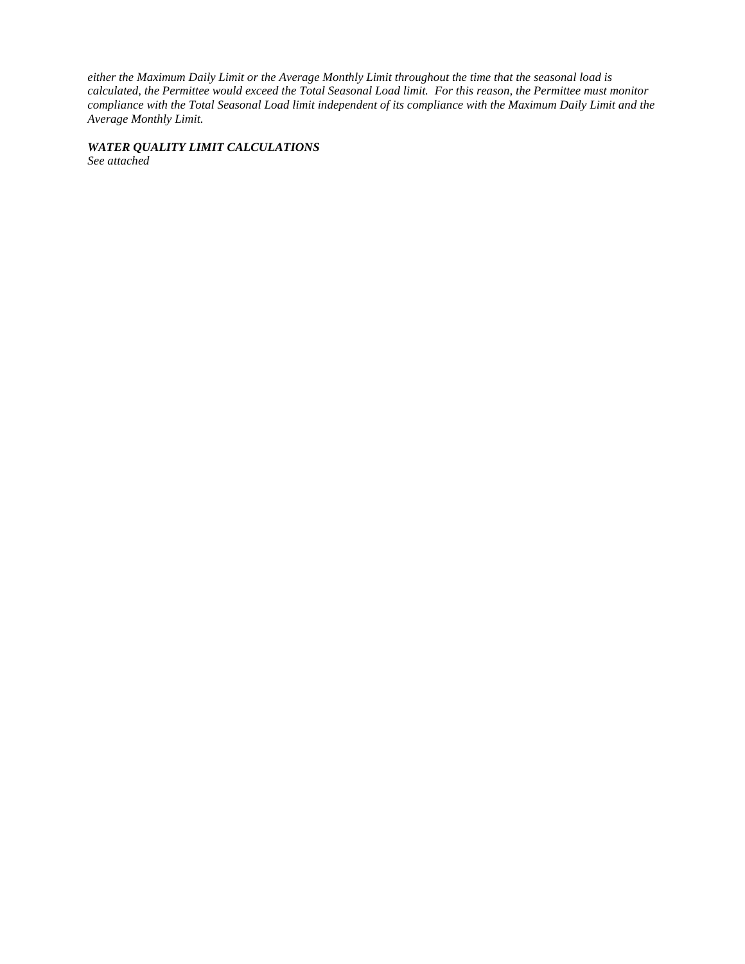*either the Maximum Daily Limit or the Average Monthly Limit throughout the time that the seasonal load is calculated, the Permittee would exceed the Total Seasonal Load limit. For this reason, the Permittee must monitor compliance with the Total Seasonal Load limit independent of its compliance with the Maximum Daily Limit and the Average Monthly Limit.* 

*WATER QUALITY LIMIT CALCULATIONS See attached*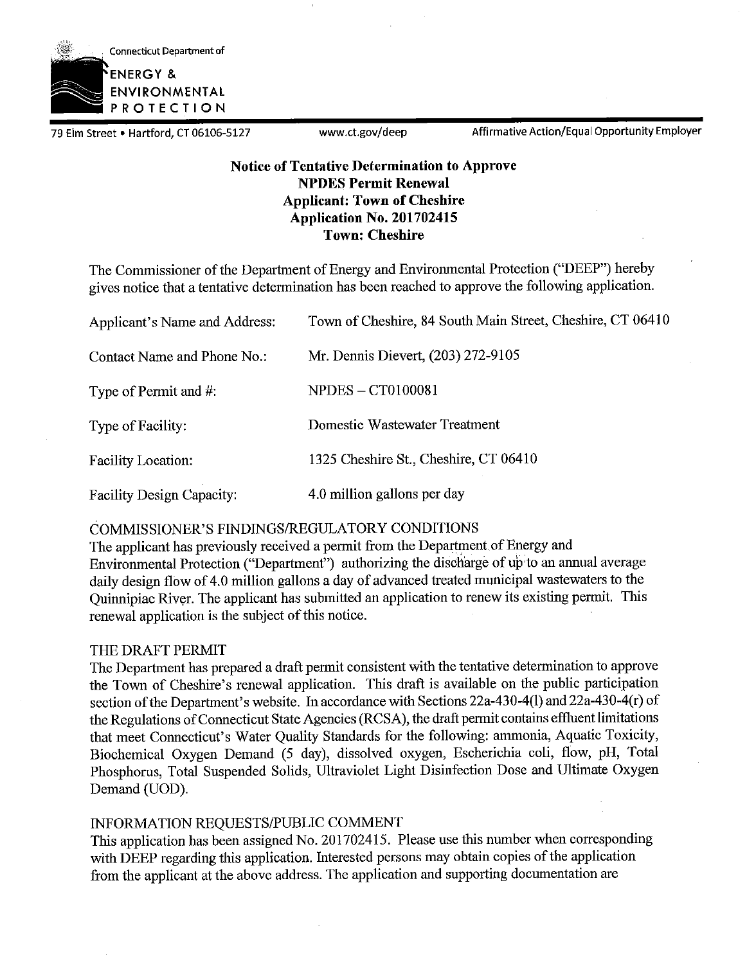

79 Elm Street • Hartford, CT 06106-5127 www.ct.gov/deep Affirmative Action/Equal Opportunity Employer

### **Notice of Tentative Determination to Approve NPDES Permit Renewal Applicant: Town of Cheshire Application No. 201702415 Town: Cheshire**

The Commissioner of the Department of Energy and Environmental Protection ("DEEP") hereby gives notice that a tentative determination has been reached to approve the following application.

| Applicant's Name and Address:    | Town of Cheshire, 84 South Main Street, Cheshire, CT 06410 |
|----------------------------------|------------------------------------------------------------|
| Contact Name and Phone No.:      | Mr. Dennis Dievert, (203) 272-9105                         |
| Type of Permit and #:            | <b>NPDES - CT0100081</b>                                   |
| Type of Facility:                | Domestic Wastewater Treatment                              |
| <b>Facility Location:</b>        | 1325 Cheshire St., Cheshire, CT 06410                      |
| <b>Facility Design Capacity:</b> | 4.0 million gallons per day                                |

### COMMISSIONER'S FINDINGS/REGULATORY CONDITIONS

The applicant has previously received a permit from the Department of Energy and Environmental Protection ("Department") authorizing the discharge of up to an annual average daily design flow of 4.0 million gallons a day of advanced treated municipal wastewaters to the Quinnipiac River. The applicant has submitted an application to renew its existing permit. This renewal application is the subject of this notice.

### THE DRAFT PERMIT

The Department has prepared a draft permit consistent with the tentative determination to approve the Town of Cheshire's renewal application. This draft is available on the public participation section of the Department's website. In accordance with Sections 22a-430-4(1) and 22a-430-4(r) of the Regulations of Connecticut State Agencies (RCSA), the draft permit contains effluent limitations that meet Connecticut's Water Quality Standards for the following: ammonia, Aquatic Toxicity, Biochemical Oxygen Demand (5 day), dissolved oxygen, Escherichia coli, flow, pH, Total Phosphorus, Total Suspended Solids, Ultraviolet Light Disinfection Dose and Ultimate Oxygen Demand (UOD).

### INFORMATION REQUESTS/PUBLIC COMMENT

This application has been assigned No. 201702415. Please use this number when corresponding with DEEP regarding this application. Interested persons may obtain copies of the application from the applicant at the above address. The application and supporting documentation are